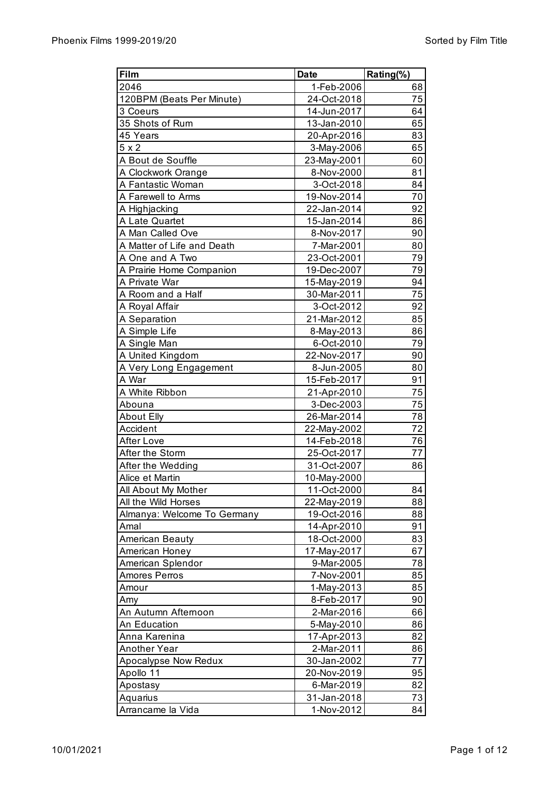| Film                        | <b>Date</b> | Rating(%) |
|-----------------------------|-------------|-----------|
| 2046                        | 1-Feb-2006  | 68        |
| 120BPM (Beats Per Minute)   | 24-Oct-2018 | 75        |
| 3 Coeurs                    | 14-Jun-2017 | 64        |
| 35 Shots of Rum             | 13-Jan-2010 | 65        |
| 45 Years                    | 20-Apr-2016 | 83        |
| $5 \times 2$                | 3-May-2006  | 65        |
| A Bout de Souffle           | 23-May-2001 | 60        |
| A Clockwork Orange          | 8-Nov-2000  | 81        |
| A Fantastic Woman           | 3-Oct-2018  | 84        |
| A Farewell to Arms          | 19-Nov-2014 | 70        |
| A Highjacking               | 22-Jan-2014 | 92        |
| A Late Quartet              | 15-Jan-2014 | 86        |
| A Man Called Ove            | 8-Nov-2017  | 90        |
| A Matter of Life and Death  | 7-Mar-2001  | 80        |
| A One and A Two             | 23-Oct-2001 | 79        |
| A Prairie Home Companion    | 19-Dec-2007 | 79        |
| A Private War               | 15-May-2019 | 94        |
| A Room and a Half           | 30-Mar-2011 | 75        |
| A Royal Affair              | 3-Oct-2012  | 92        |
| A Separation                | 21-Mar-2012 | 85        |
| A Simple Life               | 8-May-2013  | 86        |
| A Single Man                | 6-Oct-2010  | 79        |
| A United Kingdom            | 22-Nov-2017 | 90        |
| A Very Long Engagement      | 8-Jun-2005  | 80        |
| A War                       | 15-Feb-2017 | 91        |
| A White Ribbon              | 21-Apr-2010 | 75        |
| Abouna                      | 3-Dec-2003  | 75        |
| <b>About Elly</b>           | 26-Mar-2014 | 78        |
| Accident                    | 22-May-2002 | 72        |
| <b>After Love</b>           | 14-Feb-2018 | 76        |
| After the Storm             | 25-Oct-2017 | 77        |
| After the Wedding           | 31-Oct-2007 | 86        |
| Alice et Martin             | 10-May-2000 |           |
| All About My Mother         | 11-Oct-2000 | 84        |
| All the Wild Horses         | 22-May-2019 | 88        |
| Almanya: Welcome To Germany | 19-Oct-2016 | 88        |
| Amal                        | 14-Apr-2010 | 91        |
| American Beauty             | 18-Oct-2000 | 83        |
| American Honey              | 17-May-2017 | 67        |
| American Splendor           | 9-Mar-2005  | 78        |
| <b>Amores Perros</b>        | 7-Nov-2001  | 85        |
| Amour                       | 1-May-2013  | 85        |
| Amy                         | 8-Feb-2017  | 90        |
| An Autumn Afternoon         | 2-Mar-2016  | 66        |
| An Education                | 5-May-2010  | 86        |
| Anna Karenina               | 17-Apr-2013 | 82        |
| <b>Another Year</b>         |             | 86        |
|                             | 2-Mar-2011  | 77        |
| Apocalypse Now Redux        | 30-Jan-2002 | 95        |
| Apollo 11                   | 20-Nov-2019 |           |
| Apostasy                    | 6-Mar-2019  | 82        |
| Aquarius                    | 31-Jan-2018 | 73        |
| Arrancame la Vida           | 1-Nov-2012  | 84        |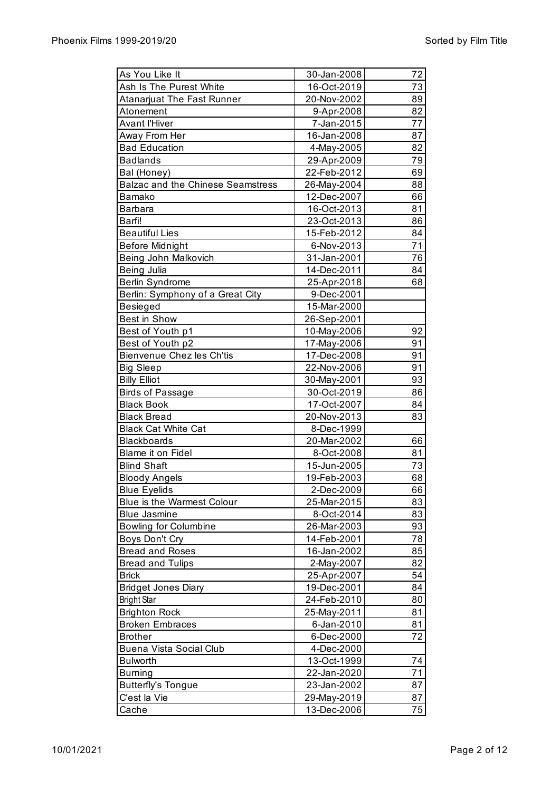| As You Like It                          | 30-Jan-2008 | 72       |
|-----------------------------------------|-------------|----------|
| Ash Is The Purest White                 | 16-Oct-2019 | 73       |
| Atanarjuat The Fast Runner              | 20-Nov-2002 | 89       |
| Atonement                               | 9-Apr-2008  | 82       |
| <b>Avant l'Hiver</b>                    | 7-Jan-2015  | 77       |
| Away From Her                           | 16-Jan-2008 | 87       |
| <b>Bad Education</b>                    | 4-May-2005  | 82       |
| <b>Badlands</b>                         | 29-Apr-2009 | 79       |
| Bal (Honey)                             | 22-Feb-2012 | 69       |
| Balzac and the Chinese Seamstress       | 26-May-2004 | 88       |
| Bamako                                  | 12-Dec-2007 | 66       |
| <b>Barbara</b>                          | 16-Oct-2013 | 81       |
| Barfi!                                  | 23-Oct-2013 | 86       |
| <b>Beautiful Lies</b>                   | 15-Feb-2012 | 84       |
| <b>Before Midnight</b>                  | 6-Nov-2013  | 71       |
| Being John Malkovich                    | 31-Jan-2001 | 76       |
| Being Julia                             | 14-Dec-2011 | 84       |
| Berlin Syndrome                         | 25-Apr-2018 | 68       |
| Berlin: Symphony of a Great City        | 9-Dec-2001  |          |
| <b>Besieged</b>                         | 15-Mar-2000 |          |
| Best in Show                            | 26-Sep-2001 |          |
| Best of Youth p1                        | 10-May-2006 | 92       |
| Best of Youth p2                        | 17-May-2006 | 91       |
| Bienvenue Chez les Ch'tis               | 17-Dec-2008 | 91       |
|                                         | 22-Nov-2006 | 91       |
| <b>Big Sleep</b>                        |             | 93       |
| <b>Billy Elliot</b>                     | 30-May-2001 |          |
| Birds of Passage                        | 30-Oct-2019 | 86       |
| <b>Black Book</b><br><b>Black Bread</b> | 17-Oct-2007 | 84<br>83 |
|                                         | 20-Nov-2013 |          |
| <b>Black Cat White Cat</b>              | 8-Dec-1999  |          |
| <b>Blackboards</b>                      | 20-Mar-2002 | 66       |
| Blame it on Fidel                       | 8-Oct-2008  | 81       |
| <b>Blind Shaft</b>                      | 15-Jun-2005 | 73       |
| <b>Bloody Angels</b>                    | 19-Feb-2003 | 68       |
| <b>Blue Eyelids</b>                     | 2-Dec-2009  | 66       |
| <b>Blue is the Warmest Colour</b>       | 25-Mar-2015 | 83       |
| <b>Blue Jasmine</b>                     | 8-Oct-2014  | 83       |
| <b>Bowling for Columbine</b>            | 26-Mar-2003 | 93       |
| Boys Don't Cry                          | 14-Feb-2001 | 78       |
| <b>Bread and Roses</b>                  | 16-Jan-2002 | 85       |
| <b>Bread and Tulips</b>                 | 2-May-2007  | 82       |
| <b>Brick</b>                            | 25-Apr-2007 | 54       |
| <b>Bridget Jones Diary</b>              | 19-Dec-2001 | 84       |
| <b>Bright Star</b>                      | 24-Feb-2010 | 80       |
| <b>Brighton Rock</b>                    | 25-May-2011 | 81       |
| <b>Broken Embraces</b>                  | 6-Jan-2010  | 81       |
| <b>Brother</b>                          | 6-Dec-2000  | 72       |
| Buena Vista Social Club                 | 4-Dec-2000  |          |
| <b>Bulworth</b>                         | 13-Oct-1999 | 74       |
| <b>Burning</b>                          | 22-Jan-2020 | 71       |
| <b>Butterfly's Tongue</b>               | 23-Jan-2002 | 87       |
| C'est la Vie                            | 29-May-2019 | 87       |
| Cache                                   | 13-Dec-2006 | 75       |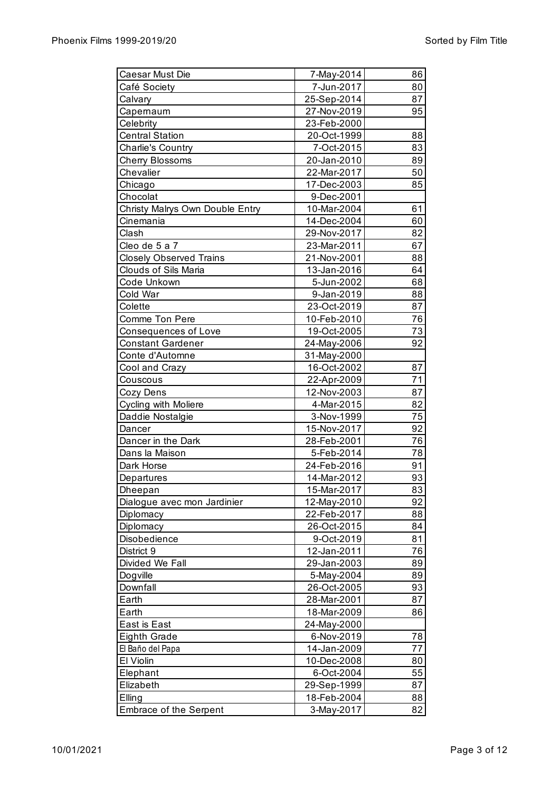| Caesar Must Die                 | 7-May-2014  | 86 |
|---------------------------------|-------------|----|
| Café Society                    | 7-Jun-2017  | 80 |
| Calvary                         | 25-Sep-2014 | 87 |
| Capernaum                       | 27-Nov-2019 | 95 |
| Celebrity                       | 23-Feb-2000 |    |
| <b>Central Station</b>          | 20-Oct-1999 | 88 |
| Charlie's Country               | 7-Oct-2015  | 83 |
| Cherry Blossoms                 | 20-Jan-2010 | 89 |
| Chevalier                       | 22-Mar-2017 | 50 |
| Chicago                         | 17-Dec-2003 | 85 |
| Chocolat                        | 9-Dec-2001  |    |
| Christy Malrys Own Double Entry | 10-Mar-2004 | 61 |
| Cinemania                       | 14-Dec-2004 | 60 |
| Clash                           | 29-Nov-2017 | 82 |
| Cleo de 5 a 7                   | 23-Mar-2011 | 67 |
| <b>Closely Observed Trains</b>  | 21-Nov-2001 | 88 |
| Clouds of Sils Maria            | 13-Jan-2016 | 64 |
| Code Unkown                     | 5-Jun-2002  | 68 |
| Cold War                        | 9-Jan-2019  | 88 |
| Colette                         | 23-Oct-2019 | 87 |
| Comme Ton Pere                  | 10-Feb-2010 | 76 |
| Consequences of Love            | 19-Oct-2005 | 73 |
| <b>Constant Gardener</b>        | 24-May-2006 | 92 |
| Conte d'Automne                 | 31-May-2000 |    |
| Cool and Crazy                  | 16-Oct-2002 | 87 |
| Couscous                        | 22-Apr-2009 | 71 |
| Cozy Dens                       | 12-Nov-2003 | 87 |
| Cycling with Moliere            | 4-Mar-2015  | 82 |
| Daddie Nostalgie                | 3-Nov-1999  | 75 |
| Dancer                          | 15-Nov-2017 | 92 |
| Dancer in the Dark              | 28-Feb-2001 | 76 |
| Dans la Maison                  | 5-Feb-2014  | 78 |
| Dark Horse                      | 24-Feb-2016 | 91 |
|                                 |             | 93 |
| Departures                      | 14-Mar-2012 | 83 |
| Dheepan                         | 15-Mar-2017 |    |
| Dialogue avec mon Jardinier     | 12-May-2010 | 92 |
| Diplomacy                       | 22-Feb-2017 | 88 |
| Diplomacy                       | 26-Oct-2015 | 84 |
| Disobedience                    | 9-Oct-2019  | 81 |
| District 9                      | 12-Jan-2011 | 76 |
| Divided We Fall                 | 29-Jan-2003 | 89 |
| Dogville                        | 5-May-2004  | 89 |
| Downfall                        | 26-Oct-2005 | 93 |
| Earth                           | 28-Mar-2001 | 87 |
| Earth                           | 18-Mar-2009 | 86 |
| East is East                    | 24-May-2000 |    |
| <b>Eighth Grade</b>             | 6-Nov-2019  | 78 |
| El Baño del Papa                | 14-Jan-2009 | 77 |
| El Violin                       | 10-Dec-2008 | 80 |
| Elephant                        | 6-Oct-2004  | 55 |
| Elizabeth                       | 29-Sep-1999 | 87 |
| Elling                          | 18-Feb-2004 | 88 |
| <b>Embrace of the Serpent</b>   | 3-May-2017  | 82 |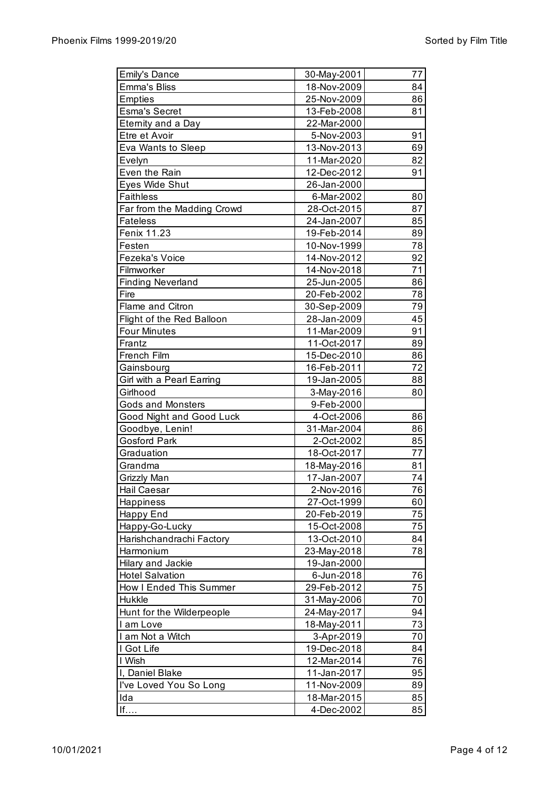| <b>Emily's Dance</b>       | 30-May-2001 | 77 |
|----------------------------|-------------|----|
| <b>Emma's Bliss</b>        | 18-Nov-2009 | 84 |
| <b>Empties</b>             | 25-Nov-2009 | 86 |
| <b>Esma's Secret</b>       | 13-Feb-2008 | 81 |
| Eternity and a Day         | 22-Mar-2000 |    |
| Etre et Avoir              | 5-Nov-2003  | 91 |
| Eva Wants to Sleep         | 13-Nov-2013 | 69 |
| Evelyn                     | 11-Mar-2020 | 82 |
| Even the Rain              | 12-Dec-2012 | 91 |
| Eyes Wide Shut             | 26-Jan-2000 |    |
| <b>Faithless</b>           | 6-Mar-2002  | 80 |
| Far from the Madding Crowd | 28-Oct-2015 | 87 |
| <b>Fateless</b>            | 24-Jan-2007 | 85 |
| Fenix 11.23                | 19-Feb-2014 | 89 |
| Festen                     | 10-Nov-1999 | 78 |
| Fezeka's Voice             | 14-Nov-2012 | 92 |
| Filmworker                 | 14-Nov-2018 | 71 |
| <b>Finding Neverland</b>   | 25-Jun-2005 | 86 |
| Fire                       |             | 78 |
| Flame and Citron           | 20-Feb-2002 | 79 |
|                            | 30-Sep-2009 |    |
| Flight of the Red Balloon  | 28-Jan-2009 | 45 |
| <b>Four Minutes</b>        | 11-Mar-2009 | 91 |
| Frantz                     | 11-Oct-2017 | 89 |
| French Film                | 15-Dec-2010 | 86 |
| Gainsbourg                 | 16-Feb-2011 | 72 |
| Girl with a Pearl Earring  | 19-Jan-2005 | 88 |
| Girlhood                   | 3-May-2016  | 80 |
| <b>Gods and Monsters</b>   | 9-Feb-2000  |    |
| Good Night and Good Luck   | 4-Oct-2006  | 86 |
| Goodbye, Lenin!            | 31-Mar-2004 | 86 |
| <b>Gosford Park</b>        | 2-Oct-2002  | 85 |
| Graduation                 | 18-Oct-2017 | 77 |
| Grandma                    | 18-May-2016 | 81 |
| Grizzly Man                | 17-Jan-2007 | 74 |
| <b>Hail Caesar</b>         | 2-Nov-2016  | 76 |
| Happiness                  | 27-Oct-1999 | 60 |
| <b>Happy End</b>           | 20-Feb-2019 | 75 |
| Happy-Go-Lucky             | 15-Oct-2008 | 75 |
| Harishchandrachi Factory   | 13-Oct-2010 | 84 |
| Harmonium                  | 23-May-2018 | 78 |
| Hilary and Jackie          | 19-Jan-2000 |    |
| <b>Hotel Salvation</b>     | 6-Jun-2018  | 76 |
| How I Ended This Summer    | 29-Feb-2012 | 75 |
| Hukkle                     | 31-May-2006 | 70 |
| Hunt for the Wilderpeople  | 24-May-2017 | 94 |
| I am Love                  | 18-May-2011 | 73 |
| I am Not a Witch           | 3-Apr-2019  | 70 |
| I Got Life                 | 19-Dec-2018 | 84 |
| I Wish                     | 12-Mar-2014 | 76 |
| I, Daniel Blake            | 11-Jan-2017 | 95 |
| I've Loved You So Long     | 11-Nov-2009 | 89 |
| Ida                        | 18-Mar-2015 | 85 |
| If                         | 4-Dec-2002  | 85 |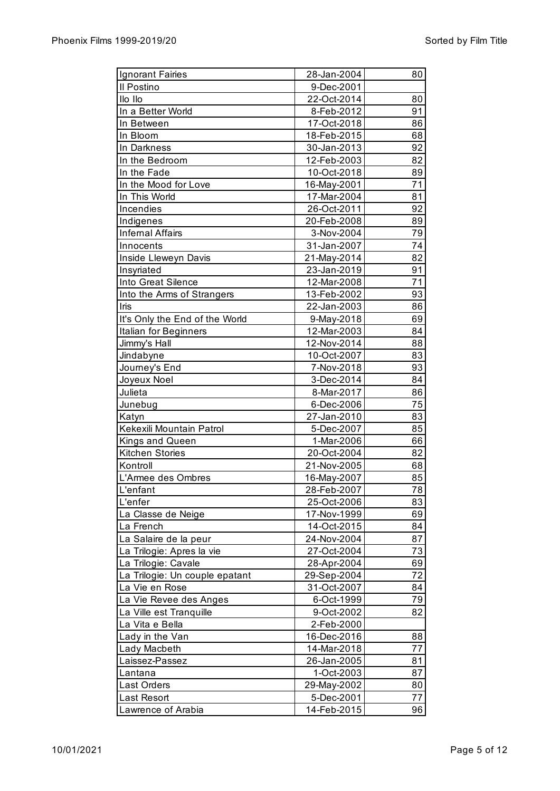| Ignorant Fairies               | 28-Jan-2004 | 80              |
|--------------------------------|-------------|-----------------|
| Il Postino                     | 9-Dec-2001  |                 |
| Ilo Ilo                        | 22-Oct-2014 | 80              |
| In a Better World              | 8-Feb-2012  | 91              |
| In Between                     | 17-Oct-2018 | 86              |
| In Bloom                       | 18-Feb-2015 | 68              |
| In Darkness                    | 30-Jan-2013 | 92              |
| In the Bedroom                 | 12-Feb-2003 | 82              |
| In the Fade                    | 10-Oct-2018 | 89              |
| In the Mood for Love           | 16-May-2001 | 71              |
| In This World                  | 17-Mar-2004 | 81              |
| Incendies                      | 26-Oct-2011 | 92              |
| Indigenes                      | 20-Feb-2008 | 89              |
| <b>Infernal Affairs</b>        | 3-Nov-2004  | 79              |
| Innocents                      | 31-Jan-2007 | 74              |
| Inside Lleweyn Davis           | 21-May-2014 | 82              |
| Insyriated                     | 23-Jan-2019 | 91              |
| Into Great Silence             | 12-Mar-2008 | $\overline{71}$ |
| Into the Arms of Strangers     | 13-Feb-2002 | 93              |
| Iris                           | 22-Jan-2003 | 86              |
| It's Only the End of the World | 9-May-2018  | 69              |
| Italian for Beginners          | 12-Mar-2003 | 84              |
| Jimmy's Hall                   | 12-Nov-2014 | 88              |
| Jindabyne                      | 10-Oct-2007 | 83              |
| Journey's End                  | 7-Nov-2018  | 93              |
| Joyeux Noel                    | 3-Dec-2014  | 84              |
| Julieta                        | 8-Mar-2017  | 86              |
| Junebug                        | 6-Dec-2006  | 75              |
| Katyn                          | 27-Jan-2010 | 83              |
| Kekexili Mountain Patrol       | 5-Dec-2007  | 85              |
| Kings and Queen                | 1-Mar-2006  | 66              |
| Kitchen Stories                | 20-Oct-2004 | 82              |
| Kontroll                       | 21-Nov-2005 | 68              |
| L'Armee des Ombres             | 16-May-2007 | 85              |
| L'enfant                       | 28-Feb-2007 | 78              |
| L'enfer                        | 25-Oct-2006 | 83              |
| La Classe de Neige             | 17-Nov-1999 | 69              |
| La French                      | 14-Oct-2015 | 84              |
| La Salaire de la peur          | 24-Nov-2004 | 87              |
| La Trilogie: Apres la vie      | 27-Oct-2004 | 73              |
| La Trilogie: Cavale            | 28-Apr-2004 | 69              |
| La Trilogie: Un couple epatant | 29-Sep-2004 | 72              |
| La Vie en Rose                 | 31-Oct-2007 | 84              |
| La Vie Revee des Anges         | 6-Oct-1999  | 79              |
| La Ville est Tranquille        | 9-Oct-2002  | 82              |
| La Vita e Bella                | 2-Feb-2000  |                 |
| Lady in the Van                | 16-Dec-2016 | 88              |
| Lady Macbeth                   | 14-Mar-2018 | 77              |
| Laissez-Passez                 | 26-Jan-2005 | 81              |
| Lantana                        | 1-Oct-2003  | 87              |
| Last Orders                    | 29-May-2002 | 80              |
| Last Resort                    | 5-Dec-2001  | 77              |
| Lawrence of Arabia             | 14-Feb-2015 | 96              |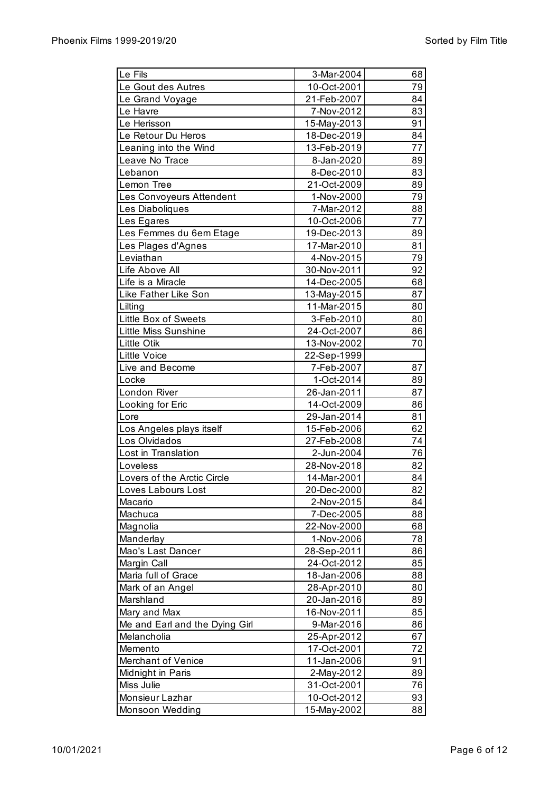| Le Fils                        | 3-Mar-2004                | 68       |
|--------------------------------|---------------------------|----------|
| Le Gout des Autres             | 10-Oct-2001               | 79       |
| Le Grand Voyage                | 21-Feb-2007               | 84       |
| Le Havre                       | 7-Nov-2012                | 83       |
| Le Herisson                    | 15-May-2013               | 91       |
| Le Retour Du Heros             | 18-Dec-2019               | 84       |
| Leaning into the Wind          | 13-Feb-2019               | 77       |
| Leave No Trace                 | 8-Jan-2020                | 89       |
| Lebanon                        | 8-Dec-2010                | 83       |
| Lemon Tree                     | 21-Oct-2009               | 89       |
| Les Convoyeurs Attendent       | 1-Nov-2000                | 79       |
| Les Diaboliques                | 7-Mar-2012                | 88       |
| Les Egares                     | 10-Oct-2006               | 77       |
| Les Femmes du 6em Etage        | 19-Dec-2013               | 89       |
| Les Plages d'Agnes             | 17-Mar-2010               | 81       |
| Leviathan                      | 4-Nov-2015                | 79       |
| Life Above All                 | 30-Nov-2011               | 92       |
| Life is a Miracle              | 14-Dec-2005               | 68       |
| Like Father Like Son           | 13-May-2015               | 87       |
| Lilting                        | 11-Mar-2015               | 80       |
| Little Box of Sweets           | 3-Feb-2010                | 80       |
| Little Miss Sunshine           | 24-Oct-2007               | 86       |
| <b>Little Otik</b>             | 13-Nov-2002               | 70       |
| <b>Little Voice</b>            | 22-Sep-1999               |          |
| Live and Become                | 7-Feb-2007                | 87       |
| Locke                          | 1-Oct-2014                | 89       |
| London River                   | 26-Jan-2011               | 87       |
| Looking for Eric               | 14-Oct-2009               | 86       |
| Lore                           | 29-Jan-2014               | 81       |
| Los Angeles plays itself       | 15-Feb-2006               | 62       |
| Los Olvidados                  | 27-Feb-2008               | 74       |
| Lost in Translation            | 2-Jun-2004                | 76       |
| Loveless                       | 28-Nov-2018               | 82       |
| Lovers of the Arctic Circle    | 14-Mar-2001               | 84       |
| Loves Labours Lost             | 20-Dec-2000               | 82       |
| Macario                        | 2-Nov-2015                | 84       |
|                                |                           | 88       |
| Machuca<br>Magnolia            | 7-Dec-2005<br>22-Nov-2000 | 68       |
| Manderlay                      | 1-Nov-2006                | 78       |
| Mao's Last Dancer              | 28-Sep-2011               | 86       |
| Margin Call                    | 24-Oct-2012               | 85       |
| Maria full of Grace            | 18-Jan-2006               | 88       |
| Mark of an Angel               |                           | 80       |
| Marshland                      | 28-Apr-2010               |          |
|                                | 20-Jan-2016               | 89<br>85 |
| Mary and Max                   | 16-Nov-2011               |          |
| Me and Earl and the Dying Girl | 9-Mar-2016                | 86       |
| Melancholia                    | 25-Apr-2012               | 67       |
| Memento                        | 17-Oct-2001               | 72       |
| Merchant of Venice             | 11-Jan-2006               | 91       |
| Midnight in Paris              | 2-May-2012                | 89       |
| Miss Julie                     | 31-Oct-2001               | 76       |
| Monsieur Lazhar                | 10-Oct-2012               | 93       |
| Monsoon Wedding                | 15-May-2002               | 88       |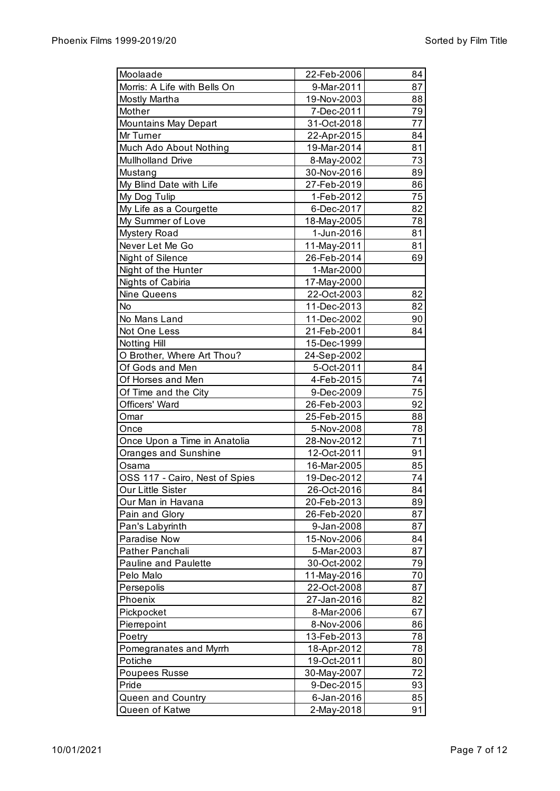| Moolaade                       | 22-Feb-2006 | 84 |
|--------------------------------|-------------|----|
| Morris: A Life with Bells On   | 9-Mar-2011  | 87 |
| Mostly Martha                  | 19-Nov-2003 | 88 |
| Mother                         | 7-Dec-2011  | 79 |
| <b>Mountains May Depart</b>    | 31-Oct-2018 | 77 |
| Mr Turner                      | 22-Apr-2015 | 84 |
| Much Ado About Nothing         | 19-Mar-2014 | 81 |
| <b>Mullholland Drive</b>       | 8-May-2002  | 73 |
| Mustang                        | 30-Nov-2016 | 89 |
| My Blind Date with Life        | 27-Feb-2019 | 86 |
| My Dog Tulip                   | 1-Feb-2012  | 75 |
| My Life as a Courgette         | 6-Dec-2017  | 82 |
| My Summer of Love              | 18-May-2005 | 78 |
| <b>Mystery Road</b>            | 1-Jun-2016  | 81 |
| Never Let Me Go                | 11-May-2011 | 81 |
| Night of Silence               | 26-Feb-2014 | 69 |
| Night of the Hunter            | 1-Mar-2000  |    |
| Nights of Cabiria              | 17-May-2000 |    |
| Nine Queens                    | 22-Oct-2003 | 82 |
| No                             | 11-Dec-2013 | 82 |
| No Mans Land                   | 11-Dec-2002 | 90 |
| Not One Less                   | 21-Feb-2001 | 84 |
| Notting Hill                   | 15-Dec-1999 |    |
| O Brother, Where Art Thou?     | 24-Sep-2002 |    |
| Of Gods and Men                | 5-Oct-2011  | 84 |
| Of Horses and Men              | 4-Feb-2015  | 74 |
| Of Time and the City           | 9-Dec-2009  | 75 |
| Officers' Ward                 | 26-Feb-2003 | 92 |
| Omar                           | 25-Feb-2015 | 88 |
| Once                           | 5-Nov-2008  | 78 |
| Once Upon a Time in Anatolia   | 28-Nov-2012 | 71 |
| Oranges and Sunshine           | 12-Oct-2011 | 91 |
| Osama                          | 16-Mar-2005 | 85 |
| OSS 117 - Cairo, Nest of Spies | 19-Dec-2012 | 74 |
| Our Little Sister              | 26-Oct-2016 | 84 |
| Our Man in Havana              | 20-Feb-2013 | 89 |
| Pain and Glory                 | 26-Feb-2020 | 87 |
| Pan's Labyrinth                | 9-Jan-2008  | 87 |
| Paradise Now                   | 15-Nov-2006 | 84 |
| Pather Panchali                | 5-Mar-2003  | 87 |
| <b>Pauline and Paulette</b>    | 30-Oct-2002 | 79 |
| Pelo Malo                      | 11-May-2016 | 70 |
| Persepolis                     | 22-Oct-2008 | 87 |
| Phoenix                        | 27-Jan-2016 | 82 |
| Pickpocket                     | 8-Mar-2006  | 67 |
| Pierrepoint                    | 8-Nov-2006  | 86 |
| Poetry                         | 13-Feb-2013 | 78 |
| Pomegranates and Myrrh         | 18-Apr-2012 | 78 |
| Potiche                        | 19-Oct-2011 | 80 |
| Poupees Russe                  | 30-May-2007 | 72 |
| Pride                          | 9-Dec-2015  | 93 |
| Queen and Country              | 6-Jan-2016  | 85 |
| Queen of Katwe                 | 2-May-2018  | 91 |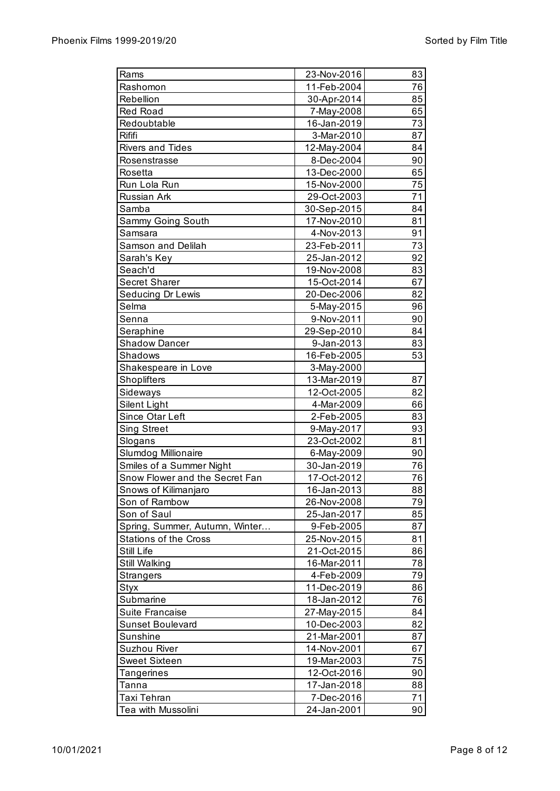| Rams                           | 23-Nov-2016 | 83 |
|--------------------------------|-------------|----|
| Rashomon                       | 11-Feb-2004 | 76 |
| Rebellion                      | 30-Apr-2014 | 85 |
| Red Road                       | 7-May-2008  | 65 |
| Redoubtable                    | 16-Jan-2019 | 73 |
| Rififi                         | 3-Mar-2010  | 87 |
| <b>Rivers and Tides</b>        | 12-May-2004 | 84 |
| Rosenstrasse                   | 8-Dec-2004  | 90 |
| Rosetta                        | 13-Dec-2000 | 65 |
| Run Lola Run                   | 15-Nov-2000 | 75 |
| Russian Ark                    | 29-Oct-2003 | 71 |
| Samba                          | 30-Sep-2015 | 84 |
| Sammy Going South              | 17-Nov-2010 | 81 |
| Samsara                        | 4-Nov-2013  | 91 |
| Samson and Delilah             | 23-Feb-2011 | 73 |
| Sarah's Key                    | 25-Jan-2012 | 92 |
| Seach'd                        | 19-Nov-2008 | 83 |
| Secret Sharer                  | 15-Oct-2014 | 67 |
| Seducing Dr Lewis              | 20-Dec-2006 | 82 |
| Selma                          | 5-May-2015  | 96 |
| Senna                          | 9-Nov-2011  | 90 |
| Seraphine                      | 29-Sep-2010 | 84 |
| <b>Shadow Dancer</b>           | 9-Jan-2013  | 83 |
| Shadows                        | 16-Feb-2005 | 53 |
| Shakespeare in Love            | 3-May-2000  |    |
| Shoplifters                    | 13-Mar-2019 | 87 |
| Sideways                       | 12-Oct-2005 | 82 |
| Silent Light                   | 4-Mar-2009  | 66 |
| Since Otar Left                | 2-Feb-2005  | 83 |
| <b>Sing Street</b>             | 9-May-2017  | 93 |
| Slogans                        | 23-Oct-2002 | 81 |
| Slumdog Millionaire            | 6-May-2009  | 90 |
| Smiles of a Summer Night       | 30-Jan-2019 | 76 |
| Snow Flower and the Secret Fan | 17-Oct-2012 | 76 |
| Snows of Kilimanjaro           | 16-Jan-2013 | 88 |
| Son of Rambow                  | 26-Nov-2008 | 79 |
| Son of Saul                    | 25-Jan-2017 | 85 |
| Spring, Summer, Autumn, Winter | 9-Feb-2005  | 87 |
| <b>Stations of the Cross</b>   | 25-Nov-2015 | 81 |
| Still Life                     | 21-Oct-2015 | 86 |
| Still Walking                  | 16-Mar-2011 | 78 |
| <b>Strangers</b>               | 4-Feb-2009  | 79 |
| Styx                           | 11-Dec-2019 | 86 |
| Submarine                      | 18-Jan-2012 | 76 |
| Suite Francaise                | 27-May-2015 | 84 |
| Sunset Boulevard               | 10-Dec-2003 | 82 |
| Sunshine                       | 21-Mar-2001 | 87 |
| <b>Suzhou River</b>            | 14-Nov-2001 | 67 |
| <b>Sweet Sixteen</b>           | 19-Mar-2003 | 75 |
| Tangerines                     | 12-Oct-2016 | 90 |
| Tanna                          | 17-Jan-2018 | 88 |
| <b>Taxi Tehran</b>             | 7-Dec-2016  | 71 |
| Tea with Mussolini             | 24-Jan-2001 | 90 |
|                                |             |    |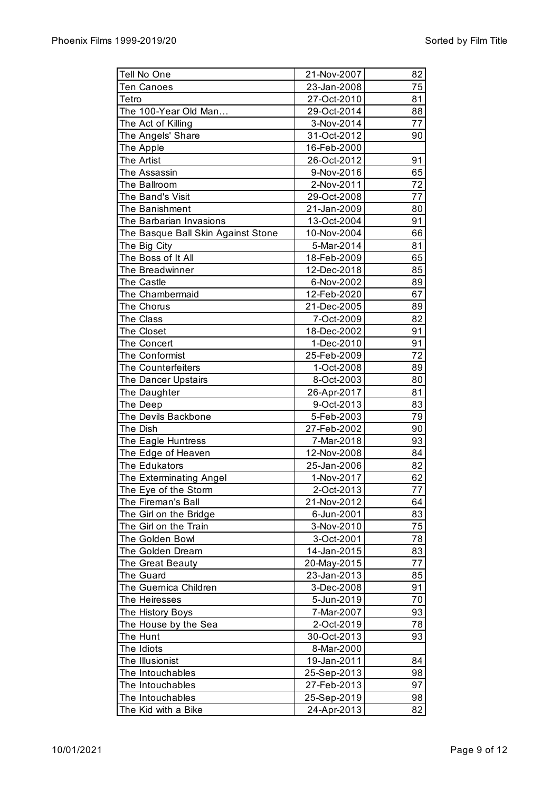| Tell No One                        | 21-Nov-2007 | 82 |
|------------------------------------|-------------|----|
| <b>Ten Canoes</b>                  | 23-Jan-2008 | 75 |
| Tetro                              | 27-Oct-2010 | 81 |
| The 100-Year Old Man               | 29-Oct-2014 | 88 |
| The Act of Killing                 | 3-Nov-2014  | 77 |
| The Angels' Share                  | 31-Oct-2012 | 90 |
| The Apple                          | 16-Feb-2000 |    |
| The Artist                         | 26-Oct-2012 | 91 |
| The Assassin                       | 9-Nov-2016  | 65 |
| The Ballroom                       | 2-Nov-2011  | 72 |
| The Band's Visit                   | 29-Oct-2008 | 77 |
| The Banishment                     | 21-Jan-2009 | 80 |
| The Barbarian Invasions            | 13-Oct-2004 | 91 |
| The Basque Ball Skin Against Stone | 10-Nov-2004 | 66 |
| The Big City                       | 5-Mar-2014  | 81 |
| The Boss of It All                 | 18-Feb-2009 | 65 |
| The Breadwinner                    | 12-Dec-2018 | 85 |
|                                    |             | 89 |
| The Castle                         | 6-Nov-2002  |    |
| The Chambermaid                    | 12-Feb-2020 | 67 |
| The Chorus                         | 21-Dec-2005 | 89 |
| The Class                          | 7-Oct-2009  | 82 |
| The Closet                         | 18-Dec-2002 | 91 |
| The Concert                        | 1-Dec-2010  | 91 |
| The Conformist                     | 25-Feb-2009 | 72 |
| <b>The Counterfeiters</b>          | 1-Oct-2008  | 89 |
| The Dancer Upstairs                | 8-Oct-2003  | 80 |
| The Daughter                       | 26-Apr-2017 | 81 |
| The Deep                           | 9-Oct-2013  | 83 |
| The Devils Backbone                | 5-Feb-2003  | 79 |
| The Dish                           | 27-Feb-2002 | 90 |
| The Eagle Huntress                 | 7-Mar-2018  | 93 |
| The Edge of Heaven                 | 12-Nov-2008 | 84 |
| The Edukators                      | 25-Jan-2006 | 82 |
| The Exterminating Angel            | 1-Nov-2017  | 62 |
| The Eye of the Storm               | 2-Oct-2013  | 77 |
| The Fireman's Ball                 | 21-Nov-2012 | 64 |
| The Girl on the Bridge             | 6-Jun-2001  | 83 |
| The Girl on the Train              | 3-Nov-2010  | 75 |
| The Golden Bowl                    | 3-Oct-2001  | 78 |
| The Golden Dream                   | 14-Jan-2015 | 83 |
| The Great Beauty                   | 20-May-2015 | 77 |
| The Guard                          | 23-Jan-2013 | 85 |
| The Guernica Children              | 3-Dec-2008  | 91 |
| The Heiresses                      | 5-Jun-2019  | 70 |
| The History Boys                   | 7-Mar-2007  | 93 |
| The House by the Sea               | 2-Oct-2019  | 78 |
| The Hunt                           | 30-Oct-2013 | 93 |
| The Idiots                         | 8-Mar-2000  |    |
| The Illusionist                    | 19-Jan-2011 | 84 |
| The Intouchables                   | 25-Sep-2013 | 98 |
| The Intouchables                   | 27-Feb-2013 | 97 |
| The Intouchables                   | 25-Sep-2019 | 98 |
| The Kid with a Bike                | 24-Apr-2013 | 82 |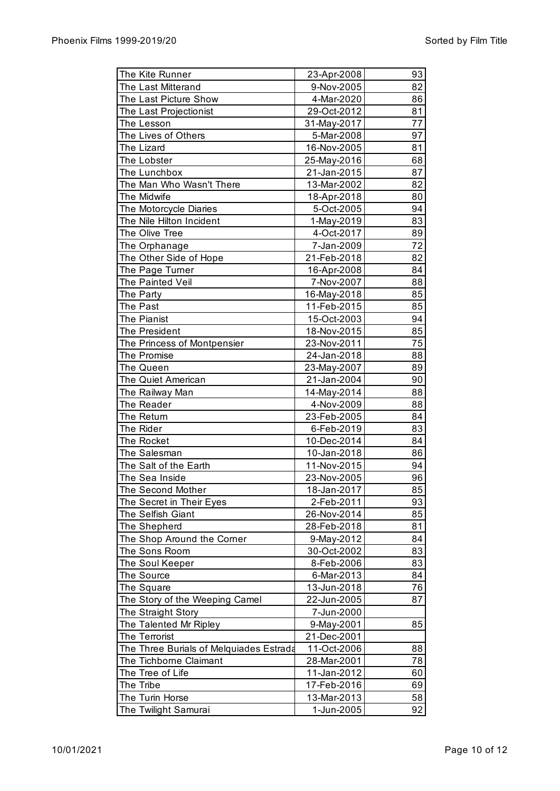| The Kite Runner                         | 23-Apr-2008                | 93 |
|-----------------------------------------|----------------------------|----|
| The Last Mitterand                      | 9-Nov-2005                 | 82 |
| The Last Picture Show                   | 4-Mar-2020                 | 86 |
| The Last Projectionist                  | 29-Oct-2012                | 81 |
| The Lesson                              | 31-May-2017                | 77 |
| The Lives of Others                     | 5-Mar-2008                 | 97 |
| The Lizard                              | 16-Nov-2005                | 81 |
| The Lobster                             | 25-May-2016                | 68 |
| The Lunchbox                            | 21-Jan-2015                | 87 |
| The Man Who Wasn't There                | 13-Mar-2002                | 82 |
| The Midwife                             | 18-Apr-2018                | 80 |
| The Motorcycle Diaries                  | 5-Oct-2005                 | 94 |
| The Nile Hilton Incident                | 1-May-2019                 | 83 |
| The Olive Tree                          | 4-Oct-2017                 | 89 |
| The Orphanage                           | 7-Jan-2009                 | 72 |
| The Other Side of Hope                  | 21-Feb-2018                | 82 |
| The Page Turner                         | 16-Apr-2008                | 84 |
| The Painted Veil                        | 7-Nov-2007                 | 88 |
|                                         |                            | 85 |
| The Party<br>The Past                   | 16-May-2018<br>11-Feb-2015 | 85 |
| The Pianist                             |                            | 94 |
|                                         | 15-Oct-2003                |    |
| <b>The President</b>                    | 18-Nov-2015                | 85 |
| The Princess of Montpensier             | 23-Nov-2011                | 75 |
| The Promise                             | 24-Jan-2018                | 88 |
| The Queen                               | 23-May-2007                | 89 |
| The Quiet American                      | 21-Jan-2004                | 90 |
| The Railway Man                         | 14-May-2014                | 88 |
| The Reader                              | 4-Nov-2009                 | 88 |
| The Return                              | 23-Feb-2005                | 84 |
| The Rider                               | 6-Feb-2019                 | 83 |
| The Rocket                              | 10-Dec-2014                | 84 |
| The Salesman                            | 10-Jan-2018                | 86 |
| The Salt of the Earth                   | 11-Nov-2015                | 94 |
| The Sea Inside                          | 23-Nov-2005                | 96 |
| The Second Mother                       | 18-Jan-2017                | 85 |
| The Secret in Their Eyes                | 2-Feb-2011                 | 93 |
| The Selfish Giant                       | 26-Nov-2014                | 85 |
| The Shepherd                            | 28-Feb-2018                | 81 |
| The Shop Around the Corner              | 9-May-2012                 | 84 |
| The Sons Room                           | 30-Oct-2002                | 83 |
| The Soul Keeper                         | 8-Feb-2006                 | 83 |
| The Source                              | 6-Mar-2013                 | 84 |
| The Square                              | 13-Jun-2018                | 76 |
| The Story of the Weeping Camel          | 22-Jun-2005                | 87 |
| The Straight Story                      | 7-Jun-2000                 |    |
| The Talented Mr Ripley                  | 9-May-2001                 | 85 |
| The Terrorist                           | 21-Dec-2001                |    |
| The Three Burials of Melquiades Estrada | 11-Oct-2006                | 88 |
| The Tichborne Claimant                  | 28-Mar-2001                | 78 |
| The Tree of Life                        | 11-Jan-2012                | 60 |
| The Tribe                               | 17-Feb-2016                | 69 |
| The Turin Horse                         | 13-Mar-2013                | 58 |
| The Twilight Samurai                    | 1-Jun-2005                 | 92 |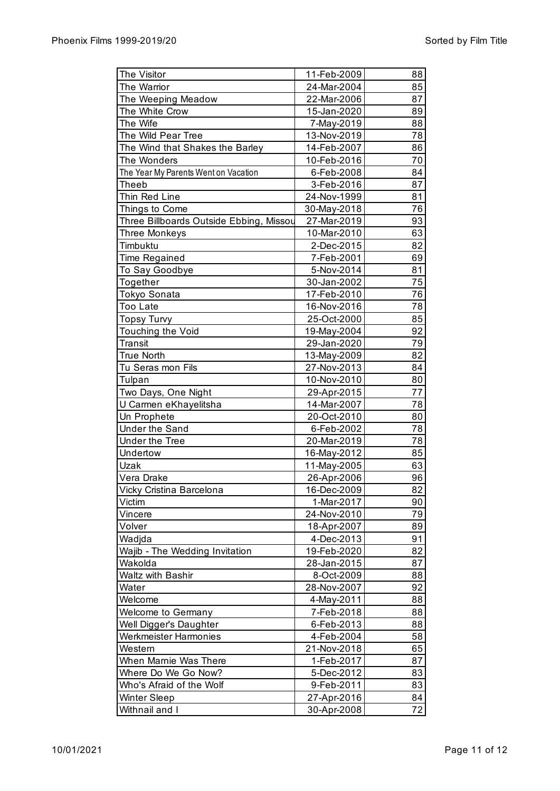| The Visitor                             | 11-Feb-2009 | 88 |
|-----------------------------------------|-------------|----|
| The Warrior                             | 24-Mar-2004 | 85 |
| The Weeping Meadow                      | 22-Mar-2006 | 87 |
| The White Crow                          | 15-Jan-2020 | 89 |
| The Wife                                | 7-May-2019  | 88 |
| The Wild Pear Tree                      | 13-Nov-2019 | 78 |
| The Wind that Shakes the Barley         | 14-Feb-2007 | 86 |
| The Wonders                             | 10-Feb-2016 | 70 |
| The Year My Parents Went on Vacation    | 6-Feb-2008  | 84 |
| Theeb                                   | 3-Feb-2016  | 87 |
| Thin Red Line                           | 24-Nov-1999 | 81 |
| Things to Come                          | 30-May-2018 | 76 |
| Three Billboards Outside Ebbing, Missou | 27-Mar-2019 | 93 |
| <b>Three Monkeys</b>                    | 10-Mar-2010 | 63 |
| Timbuktu                                | 2-Dec-2015  | 82 |
| <b>Time Regained</b>                    | 7-Feb-2001  | 69 |
| To Say Goodbye                          | 5-Nov-2014  | 81 |
| Together                                | 30-Jan-2002 | 75 |
| Tokyo Sonata                            | 17-Feb-2010 | 76 |
| <b>Too Late</b>                         | 16-Nov-2016 | 78 |
| <b>Topsy Turvy</b>                      | 25-Oct-2000 | 85 |
| Touching the Void                       | 19-May-2004 | 92 |
| Transit                                 | 29-Jan-2020 | 79 |
| <b>True North</b>                       | 13-May-2009 | 82 |
| Tu Seras mon Fils                       | 27-Nov-2013 | 84 |
| Tulpan                                  | 10-Nov-2010 | 80 |
| Two Days, One Night                     | 29-Apr-2015 | 77 |
| U Carmen eKhayelitsha                   | 14-Mar-2007 | 78 |
| Un Prophete                             | 20-Oct-2010 | 80 |
| <b>Under the Sand</b>                   | 6-Feb-2002  | 78 |
| Under the Tree                          | 20-Mar-2019 | 78 |
| Undertow                                | 16-May-2012 | 85 |
| Uzak                                    | 11-May-2005 | 63 |
| Vera Drake                              | 26-Apr-2006 | 96 |
| Vicky Cristina Barcelona                | 16-Dec-2009 | 82 |
| Victim                                  | 1-Mar-2017  | 90 |
| Vincere                                 | 24-Nov-2010 | 79 |
| Volver                                  | 18-Apr-2007 | 89 |
| Wadjda                                  | 4-Dec-2013  | 91 |
| Wajib - The Wedding Invitation          | 19-Feb-2020 | 82 |
| Wakolda                                 | 28-Jan-2015 | 87 |
| <b>Waltz with Bashir</b>                | 8-Oct-2009  | 88 |
| Water                                   | 28-Nov-2007 | 92 |
| Welcome                                 | 4-May-2011  | 88 |
| Welcome to Germany                      | 7-Feb-2018  | 88 |
| Well Digger's Daughter                  | 6-Feb-2013  | 88 |
| <b>Werkmeister Harmonies</b>            | 4-Feb-2004  | 58 |
| Western                                 | 21-Nov-2018 | 65 |
| When Marnie Was There                   | 1-Feb-2017  | 87 |
| Where Do We Go Now?                     | 5-Dec-2012  | 83 |
| Who's Afraid of the Wolf                | 9-Feb-2011  | 83 |
| <b>Winter Sleep</b>                     | 27-Apr-2016 | 84 |
| Withnail and I                          | 30-Apr-2008 | 72 |
|                                         |             |    |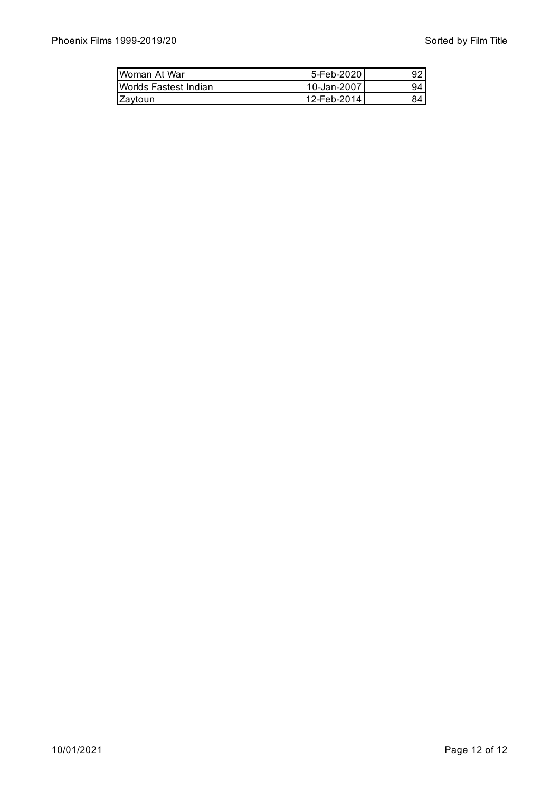| Woman At War           | 5-Feb-20201  | 92 |
|------------------------|--------------|----|
| IWorlds Fastest Indian | 10-Jan-2007  | 94 |
| IZavtoun               | 12-Feb-20141 | 84 |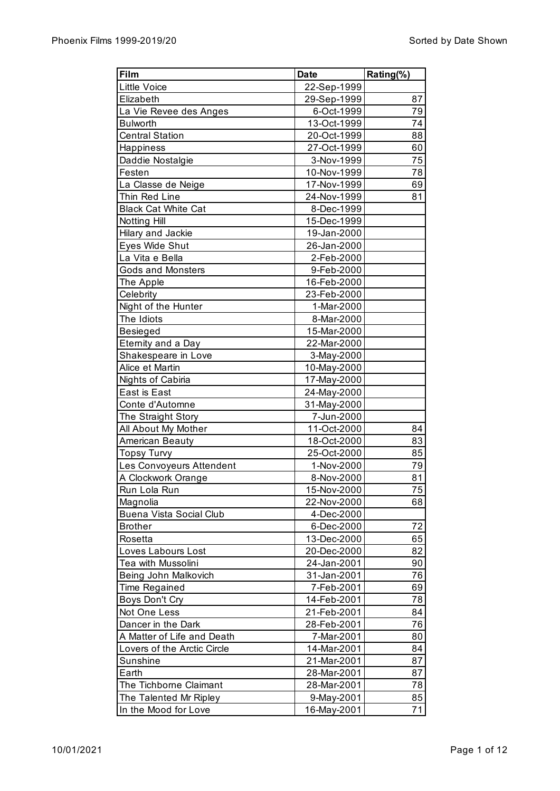| Film                           | <b>Date</b> | Rating(%) |
|--------------------------------|-------------|-----------|
| <b>Little Voice</b>            | 22-Sep-1999 |           |
| Elizabeth                      | 29-Sep-1999 | 87        |
| La Vie Revee des Anges         | 6-Oct-1999  | 79        |
| <b>Bulworth</b>                | 13-Oct-1999 | 74        |
| <b>Central Station</b>         | 20-Oct-1999 | 88        |
| Happiness                      | 27-Oct-1999 | 60        |
| Daddie Nostalgie               | 3-Nov-1999  | 75        |
| Festen                         | 10-Nov-1999 | 78        |
| La Classe de Neige             | 17-Nov-1999 | 69        |
| Thin Red Line                  | 24-Nov-1999 | 81        |
| <b>Black Cat White Cat</b>     | 8-Dec-1999  |           |
| <b>Notting Hill</b>            | 15-Dec-1999 |           |
| Hilary and Jackie              | 19-Jan-2000 |           |
| Eyes Wide Shut                 | 26-Jan-2000 |           |
| La Vita e Bella                | 2-Feb-2000  |           |
| <b>Gods and Monsters</b>       | 9-Feb-2000  |           |
| The Apple                      | 16-Feb-2000 |           |
| Celebrity                      | 23-Feb-2000 |           |
| Night of the Hunter            | 1-Mar-2000  |           |
| The Idiots                     | 8-Mar-2000  |           |
| Besieged                       | 15-Mar-2000 |           |
| Eternity and a Day             | 22-Mar-2000 |           |
| Shakespeare in Love            | 3-May-2000  |           |
| Alice et Martin                | 10-May-2000 |           |
| Nights of Cabiria              | 17-May-2000 |           |
| East is East                   |             |           |
|                                | 24-May-2000 |           |
| Conte d'Automne                | 31-May-2000 |           |
| The Straight Story             | 7-Jun-2000  |           |
| All About My Mother            | 11-Oct-2000 | 84        |
| American Beauty                | 18-Oct-2000 | 83        |
| <b>Topsy Turvy</b>             | 25-Oct-2000 | 85        |
| Les Convoyeurs Attendent       | 1-Nov-2000  | 79        |
| A Clockwork Orange             | 8-Nov-2000  | 81        |
| Run Lola Run                   | 15-Nov-2000 | 75        |
| Magnolia                       | 22-Nov-2000 | 68        |
| <b>Buena Vista Social Club</b> | 4-Dec-2000  |           |
| <b>Brother</b>                 | 6-Dec-2000  | 72        |
| Rosetta                        | 13-Dec-2000 | 65        |
| Loves Labours Lost             | 20-Dec-2000 | 82        |
| Tea with Mussolini             | 24-Jan-2001 | 90        |
| Being John Malkovich           | 31-Jan-2001 | 76        |
| Time Regained                  | 7-Feb-2001  | 69        |
| Boys Don't Cry                 | 14-Feb-2001 | 78        |
| Not One Less                   | 21-Feb-2001 | 84        |
| Dancer in the Dark             | 28-Feb-2001 | 76        |
| A Matter of Life and Death     | 7-Mar-2001  | 80        |
| Lovers of the Arctic Circle    | 14-Mar-2001 | 84        |
| Sunshine                       | 21-Mar-2001 | 87        |
| Earth                          | 28-Mar-2001 | 87        |
| The Tichborne Claimant         | 28-Mar-2001 | 78        |
| The Talented Mr Ripley         | 9-May-2001  | 85        |
| In the Mood for Love           | 16-May-2001 | 71        |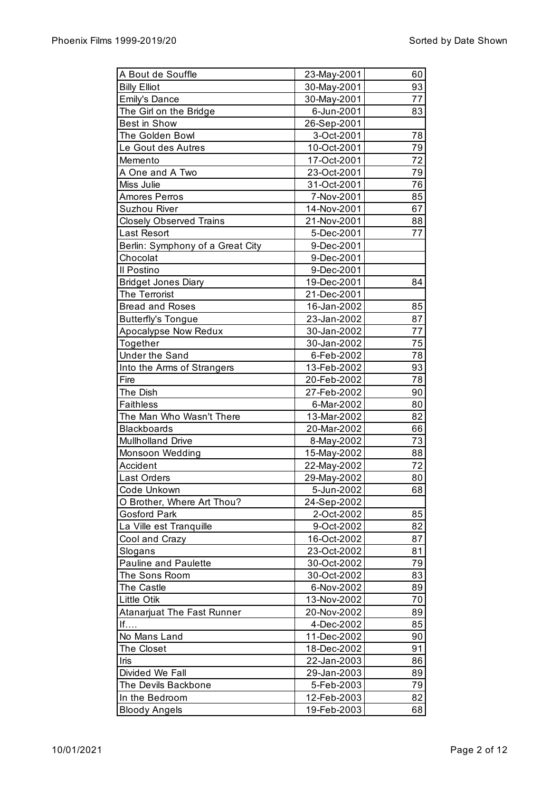| A Bout de Souffle                 | 23-May-2001 | 60 |
|-----------------------------------|-------------|----|
| <b>Billy Elliot</b>               | 30-May-2001 | 93 |
| <b>Emily's Dance</b>              | 30-May-2001 | 77 |
| The Girl on the Bridge            | 6-Jun-2001  | 83 |
| Best in Show                      | 26-Sep-2001 |    |
| The Golden Bowl                   | 3-Oct-2001  | 78 |
| Le Gout des Autres                | 10-Oct-2001 | 79 |
| Memento                           | 17-Oct-2001 | 72 |
| A One and A Two                   | 23-Oct-2001 | 79 |
| Miss Julie                        | 31-Oct-2001 | 76 |
| <b>Amores Perros</b>              | 7-Nov-2001  | 85 |
| <b>Suzhou River</b>               | 14-Nov-2001 | 67 |
| <b>Closely Observed Trains</b>    | 21-Nov-2001 | 88 |
| Last Resort                       | 5-Dec-2001  | 77 |
| Berlin: Symphony of a Great City  | 9-Dec-2001  |    |
| Chocolat                          | 9-Dec-2001  |    |
| Il Postino                        | 9-Dec-2001  |    |
| <b>Bridget Jones Diary</b>        | 19-Dec-2001 | 84 |
| The Terrorist                     | 21-Dec-2001 |    |
| <b>Bread and Roses</b>            | 16-Jan-2002 | 85 |
|                                   |             | 87 |
| <b>Butterfly's Tongue</b>         | 23-Jan-2002 | 77 |
| Apocalypse Now Redux              | 30-Jan-2002 |    |
| Together                          | 30-Jan-2002 | 75 |
| <b>Under the Sand</b>             | 6-Feb-2002  | 78 |
| Into the Arms of Strangers        | 13-Feb-2002 | 93 |
| Fire                              | 20-Feb-2002 | 78 |
| The Dish                          | 27-Feb-2002 | 90 |
| <b>Faithless</b>                  | 6-Mar-2002  | 80 |
| The Man Who Wasn't There          | 13-Mar-2002 | 82 |
| <b>Blackboards</b>                | 20-Mar-2002 | 66 |
| Mullholland Drive                 | 8-May-2002  | 73 |
| Monsoon Wedding                   | 15-May-2002 | 88 |
| Accident                          | 22-May-2002 | 72 |
| Last Orders                       | 29-May-2002 | 80 |
| Code Unkown                       | 5-Jun-2002  | 68 |
| O Brother, Where Art Thou?        | 24-Sep-2002 |    |
| <b>Gosford Park</b>               | 2-Oct-2002  | 85 |
| La Ville est Tranquille           | 9-Oct-2002  | 82 |
| Cool and Crazy                    | 16-Oct-2002 | 87 |
| Slogans                           | 23-Oct-2002 | 81 |
| <b>Pauline and Paulette</b>       | 30-Oct-2002 | 79 |
| The Sons Room                     | 30-Oct-2002 | 83 |
| The Castle                        | 6-Nov-2002  | 89 |
| Little Otik                       | 13-Nov-2002 | 70 |
| <b>Atanarjuat The Fast Runner</b> | 20-Nov-2002 | 89 |
| If                                | 4-Dec-2002  | 85 |
| No Mans Land                      | 11-Dec-2002 | 90 |
| The Closet                        | 18-Dec-2002 | 91 |
| Iris                              |             |    |
|                                   | 22-Jan-2003 | 86 |
| Divided We Fall                   | 29-Jan-2003 | 89 |
| The Devils Backbone               | 5-Feb-2003  | 79 |
| In the Bedroom                    | 12-Feb-2003 | 82 |
| <b>Bloody Angels</b>              | 19-Feb-2003 | 68 |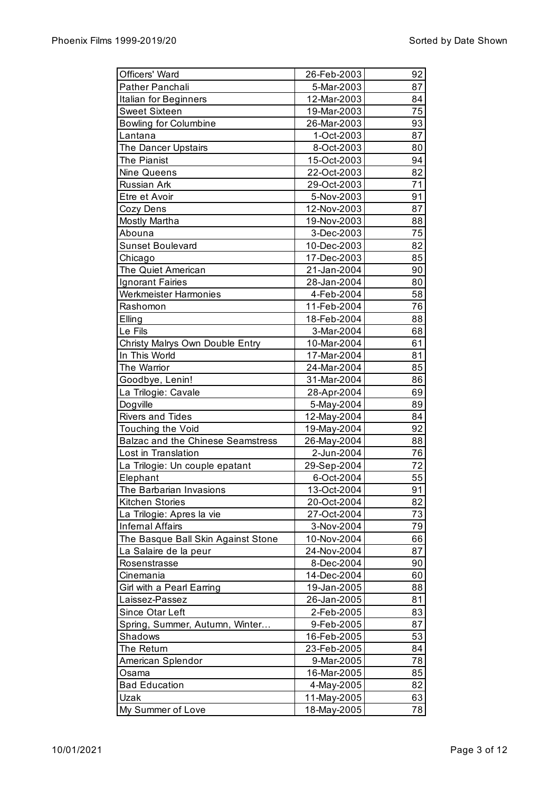| Officers' Ward                     | 26-Feb-2003                | 92 |
|------------------------------------|----------------------------|----|
| Pather Panchali                    | 5-Mar-2003                 | 87 |
| Italian for Beginners              | 12-Mar-2003                | 84 |
| <b>Sweet Sixteen</b>               | 19-Mar-2003                | 75 |
| <b>Bowling for Columbine</b>       | 26-Mar-2003                | 93 |
| Lantana                            | 1-Oct-2003                 | 87 |
| The Dancer Upstairs                | 8-Oct-2003                 | 80 |
| The Pianist                        | 15-Oct-2003                | 94 |
| <b>Nine Queens</b>                 | 22-Oct-2003                | 82 |
| Russian Ark                        | 29-Oct-2003                | 71 |
| Etre et Avoir                      | 5-Nov-2003                 | 91 |
| Cozy Dens                          | 12-Nov-2003                | 87 |
| <b>Mostly Martha</b>               | 19-Nov-2003                | 88 |
| Abouna                             | 3-Dec-2003                 | 75 |
| <b>Sunset Boulevard</b>            | 10-Dec-2003                | 82 |
| Chicago                            | 17-Dec-2003                | 85 |
| The Quiet American                 | 21-Jan-2004                | 90 |
| <b>Ignorant Fairies</b>            | 28-Jan-2004                | 80 |
| <b>Werkmeister Harmonies</b>       | 4-Feb-2004                 | 58 |
| Rashomon                           | 11-Feb-2004                | 76 |
| Elling                             | 18-Feb-2004                | 88 |
| Le Fils                            | 3-Mar-2004                 | 68 |
| Christy Malrys Own Double Entry    | 10-Mar-2004                | 61 |
| In This World                      | 17-Mar-2004                | 81 |
| The Warrior                        | 24-Mar-2004                | 85 |
| Goodbye, Lenin!                    | 31-Mar-2004                | 86 |
| La Trilogie: Cavale                | 28-Apr-2004                | 69 |
| Dogville                           | 5-May-2004                 | 89 |
| <b>Rivers and Tides</b>            | 12-May-2004                | 84 |
| Touching the Void                  | 19-May-2004                | 92 |
| Balzac and the Chinese Seamstress  | 26-May-2004                | 88 |
| Lost in Translation                | 2-Jun-2004                 | 76 |
| La Trilogie: Un couple epatant     | 29-Sep-2004                | 72 |
| Elephant                           | 6-Oct-2004                 | 55 |
| The Barbarian Invasions            | 13-Oct-2004                | 91 |
| Kitchen Stories                    | 20-Oct-2004                | 82 |
| La Trilogie: Apres la vie          | 27-Oct-2004                | 73 |
| <b>Infernal Affairs</b>            | 3-Nov-2004                 | 79 |
| The Basque Ball Skin Against Stone | 10-Nov-2004                | 66 |
| La Salaire de la peur              | 24-Nov-2004                | 87 |
| Rosenstrasse                       | 8-Dec-2004                 | 90 |
| Cinemania                          | 14-Dec-2004                | 60 |
| Girl with a Pearl Earring          | 19-Jan-2005                | 88 |
| Laissez-Passez                     | 26-Jan-2005                | 81 |
| Since Otar Left                    | 2-Feb-2005                 | 83 |
|                                    | 9-Feb-2005                 | 87 |
| Spring, Summer, Autumn, Winter     |                            |    |
| Shadows                            | 16-Feb-2005<br>23-Feb-2005 | 53 |
| The Return                         |                            | 84 |
| American Splendor                  | 9-Mar-2005                 | 78 |
| Osama                              | 16-Mar-2005                | 85 |
| <b>Bad Education</b>               | 4-May-2005                 | 82 |
| Uzak                               | 11-May-2005                | 63 |
| My Summer of Love                  | 18-May-2005                | 78 |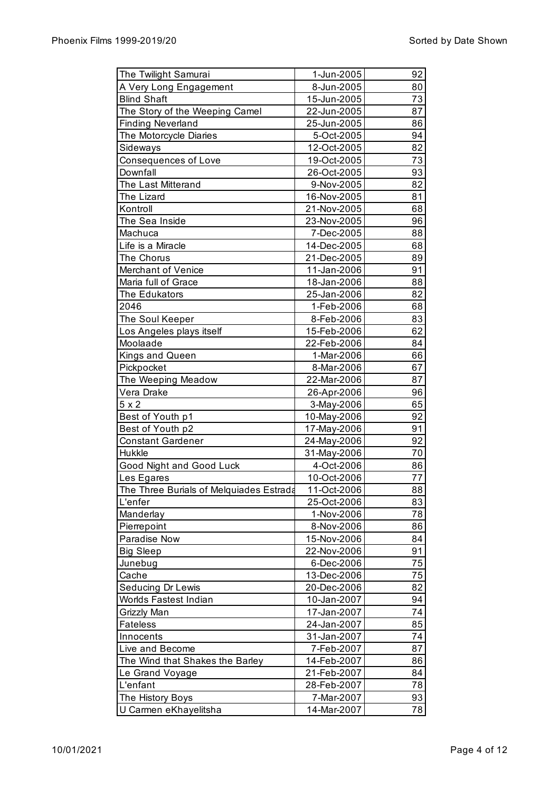| The Twilight Samurai                               | 1-Jun-2005               | 92       |
|----------------------------------------------------|--------------------------|----------|
| A Very Long Engagement                             | 8-Jun-2005               | 80       |
| <b>Blind Shaft</b>                                 | 15-Jun-2005              | 73       |
| The Story of the Weeping Camel                     | 22-Jun-2005              | 87       |
| <b>Finding Neverland</b>                           | 25-Jun-2005              | 86       |
| The Motorcycle Diaries                             | 5-Oct-2005               | 94       |
| Sideways                                           | 12-Oct-2005              | 82       |
| <b>Consequences of Love</b>                        | 19-Oct-2005              | 73       |
| Downfall                                           | 26-Oct-2005              | 93       |
| The Last Mitterand                                 | 9-Nov-2005               | 82       |
| The Lizard                                         | 16-Nov-2005              | 81       |
| Kontroll                                           | 21-Nov-2005              | 68       |
| The Sea Inside                                     | 23-Nov-2005              | 96       |
| Machuca                                            | 7-Dec-2005               | 88       |
| Life is a Miracle                                  | 14-Dec-2005              | 68       |
| The Chorus                                         | 21-Dec-2005              | 89       |
| Merchant of Venice                                 | 11-Jan-2006              | 91       |
| Maria full of Grace                                | 18-Jan-2006              | 88       |
| The Edukators                                      | 25-Jan-2006              | 82       |
| 2046                                               | 1-Feb-2006               | 68       |
| The Soul Keeper                                    | 8-Feb-2006               | 83       |
| Los Angeles plays itself                           | 15-Feb-2006              | 62       |
| Moolaade                                           | 22-Feb-2006              | 84       |
| Kings and Queen                                    | 1-Mar-2006               | 66       |
| Pickpocket                                         | 8-Mar-2006               | 67       |
| The Weeping Meadow                                 | 22-Mar-2006              | 87       |
| Vera Drake                                         | 26-Apr-2006              | 96       |
| $5 \times 2$                                       | 3-May-2006               | 65       |
| Best of Youth p1                                   | 10-May-2006              | 92       |
| Best of Youth p2                                   | 17-May-2006              | 91       |
| <b>Constant Gardener</b>                           | 24-May-2006              | 92       |
| Hukkle                                             | 31-May-2006              | 70       |
| Good Night and Good Luck                           | 4-Oct-2006               | 86       |
| Les Egares                                         | 10-Oct-2006              | 77       |
|                                                    |                          |          |
| The Three Burials of Melquiades Estrada<br>L'enfer | 11-Oct-2006              | 88<br>83 |
| Manderlay                                          | 25-Oct-2006              | 78       |
|                                                    | 1-Nov-2006<br>8-Nov-2006 |          |
| Pierrepoint                                        |                          | 86<br>84 |
| Paradise Now                                       | 15-Nov-2006              |          |
| <b>Big Sleep</b>                                   | 22-Nov-2006              | 91       |
| Junebug                                            | 6-Dec-2006               | 75       |
| Cache                                              | 13-Dec-2006              | 75       |
| Seducing Dr Lewis                                  | 20-Dec-2006              | 82       |
| Worlds Fastest Indian                              | 10-Jan-2007              | 94       |
| Grizzly Man                                        | 17-Jan-2007              | 74       |
| <b>Fateless</b>                                    | 24-Jan-2007              | 85       |
| Innocents                                          | 31-Jan-2007              | 74       |
| Live and Become                                    | 7-Feb-2007               | 87       |
| The Wind that Shakes the Barley                    | 14-Feb-2007              | 86       |
| Le Grand Voyage                                    | 21-Feb-2007              | 84       |
| L'enfant                                           | 28-Feb-2007              | 78       |
| The History Boys                                   | 7-Mar-2007               | 93       |
| U Carmen eKhayelitsha                              | 14-Mar-2007              | 78       |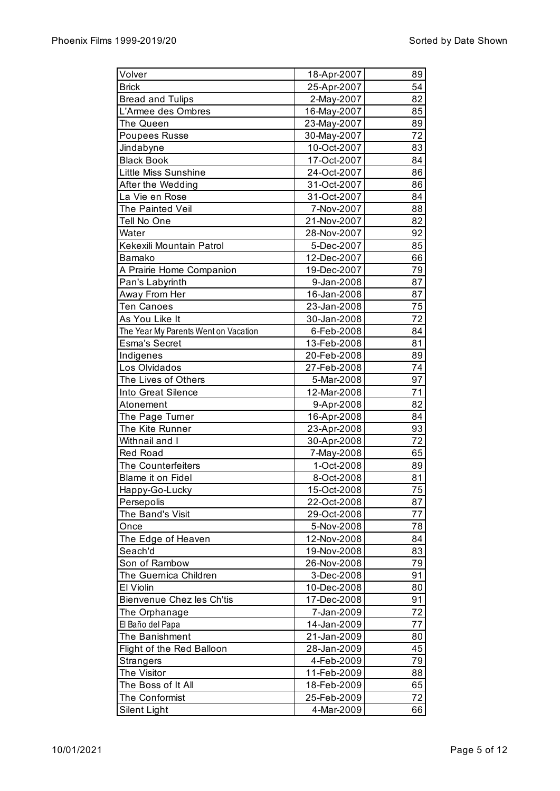| Volver                               | 18-Apr-2007 | 89 |
|--------------------------------------|-------------|----|
| <b>Brick</b>                         | 25-Apr-2007 | 54 |
| <b>Bread and Tulips</b>              | 2-May-2007  | 82 |
| L'Armee des Ombres                   | 16-May-2007 | 85 |
| The Queen                            | 23-May-2007 | 89 |
| <b>Poupees Russe</b>                 | 30-May-2007 | 72 |
| Jindabyne                            | 10-Oct-2007 | 83 |
| <b>Black Book</b>                    | 17-Oct-2007 | 84 |
| Little Miss Sunshine                 | 24-Oct-2007 | 86 |
| After the Wedding                    | 31-Oct-2007 | 86 |
| La Vie en Rose                       | 31-Oct-2007 | 84 |
| The Painted Veil                     | 7-Nov-2007  | 88 |
| Tell No One                          | 21-Nov-2007 | 82 |
| Water                                | 28-Nov-2007 | 92 |
| Kekexili Mountain Patrol             | 5-Dec-2007  | 85 |
| <b>Bamako</b>                        | 12-Dec-2007 | 66 |
| A Prairie Home Companion             | 19-Dec-2007 | 79 |
| Pan's Labyrinth                      | 9-Jan-2008  | 87 |
| Away From Her                        | 16-Jan-2008 | 87 |
| <b>Ten Canoes</b>                    | 23-Jan-2008 | 75 |
| As You Like It                       | 30-Jan-2008 | 72 |
| The Year My Parents Went on Vacation | 6-Feb-2008  | 84 |
| <b>Esma's Secret</b>                 | 13-Feb-2008 | 81 |
| Indigenes                            | 20-Feb-2008 | 89 |
| Los Olvidados                        | 27-Feb-2008 | 74 |
| The Lives of Others                  | 5-Mar-2008  | 97 |
| Into Great Silence                   | 12-Mar-2008 | 71 |
|                                      |             | 82 |
| Atonement                            | 9-Apr-2008  | 84 |
| The Page Turner<br>The Kite Runner   | 16-Apr-2008 | 93 |
| Withnail and I                       | 23-Apr-2008 | 72 |
|                                      | 30-Apr-2008 |    |
| <b>Red Road</b>                      | 7-May-2008  | 65 |
| The Counterfeiters                   | 1-Oct-2008  | 89 |
| Blame it on Fidel                    | 8-Oct-2008  | 81 |
| Happy-Go-Lucky                       | 15-Oct-2008 | 75 |
| Persepolis                           | 22-Oct-2008 | 87 |
| The Band's Visit                     | 29-Oct-2008 | 77 |
| Once                                 | 5-Nov-2008  | 78 |
| The Edge of Heaven                   | 12-Nov-2008 | 84 |
| Seach'd                              | 19-Nov-2008 | 83 |
| Son of Rambow                        | 26-Nov-2008 | 79 |
| The Guernica Children                | 3-Dec-2008  | 91 |
| El Violin                            | 10-Dec-2008 | 80 |
| Bienvenue Chez les Ch'tis            | 17-Dec-2008 | 91 |
| The Orphanage                        | 7-Jan-2009  | 72 |
| El Baño del Papa                     | 14-Jan-2009 | 77 |
| The Banishment                       | 21-Jan-2009 | 80 |
| Flight of the Red Balloon            | 28-Jan-2009 | 45 |
| <b>Strangers</b>                     | 4-Feb-2009  | 79 |
| The Visitor                          | 11-Feb-2009 | 88 |
| The Boss of It All                   | 18-Feb-2009 | 65 |
| The Conformist                       | 25-Feb-2009 | 72 |
| Silent Light                         | 4-Mar-2009  | 66 |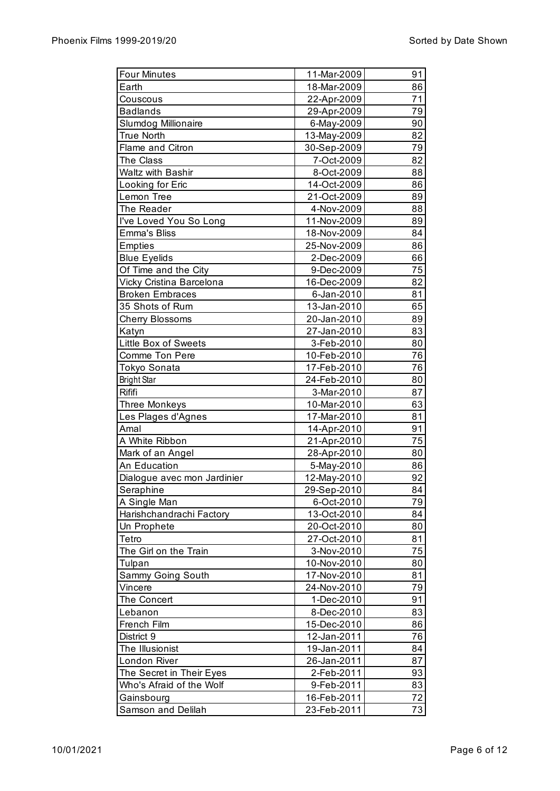| <b>Four Minutes</b>         | 11-Mar-2009 | 91 |
|-----------------------------|-------------|----|
| Earth                       | 18-Mar-2009 | 86 |
| Couscous                    | 22-Apr-2009 | 71 |
| <b>Badlands</b>             | 29-Apr-2009 | 79 |
| <b>Slumdog Millionaire</b>  | 6-May-2009  | 90 |
| <b>True North</b>           | 13-May-2009 | 82 |
| Flame and Citron            | 30-Sep-2009 | 79 |
| The Class                   | 7-Oct-2009  | 82 |
| <b>Waltz with Bashir</b>    |             | 88 |
|                             | 8-Oct-2009  |    |
| Looking for Eric            | 14-Oct-2009 | 86 |
| Lemon Tree                  | 21-Oct-2009 | 89 |
| The Reader                  | 4-Nov-2009  | 88 |
| I've Loved You So Long      | 11-Nov-2009 | 89 |
| <b>Emma's Bliss</b>         | 18-Nov-2009 | 84 |
| <b>Empties</b>              | 25-Nov-2009 | 86 |
| <b>Blue Eyelids</b>         | 2-Dec-2009  | 66 |
| Of Time and the City        | 9-Dec-2009  | 75 |
| Vicky Cristina Barcelona    | 16-Dec-2009 | 82 |
| <b>Broken Embraces</b>      | 6-Jan-2010  | 81 |
| 35 Shots of Rum             | 13-Jan-2010 | 65 |
| <b>Cherry Blossoms</b>      | 20-Jan-2010 | 89 |
| Katyn                       | 27-Jan-2010 | 83 |
| Little Box of Sweets        | 3-Feb-2010  | 80 |
| <b>Comme Ton Pere</b>       | 10-Feb-2010 | 76 |
| Tokyo Sonata                | 17-Feb-2010 | 76 |
| <b>Bright Star</b>          | 24-Feb-2010 | 80 |
| Rififi                      | 3-Mar-2010  | 87 |
| <b>Three Monkeys</b>        | 10-Mar-2010 | 63 |
| Les Plages d'Agnes          | 17-Mar-2010 | 81 |
| Amal                        | 14-Apr-2010 | 91 |
| A White Ribbon              | 21-Apr-2010 | 75 |
| Mark of an Angel            | 28-Apr-2010 | 80 |
| An Education                | 5-May-2010  | 86 |
| Dialogue avec mon Jardinier | 12-May-2010 | 92 |
| Seraphine                   | 29-Sep-2010 | 84 |
| A Single Man                | 6-Oct-2010  | 79 |
| Harishchandrachi Factory    | 13-Oct-2010 | 84 |
| Un Prophete                 | 20-Oct-2010 | 80 |
| Tetro                       | 27-Oct-2010 | 81 |
| The Girl on the Train       | 3-Nov-2010  | 75 |
| Tulpan                      | 10-Nov-2010 | 80 |
| Sammy Going South           | 17-Nov-2010 | 81 |
| Vincere                     | 24-Nov-2010 | 79 |
| The Concert                 | 1-Dec-2010  | 91 |
|                             | 8-Dec-2010  | 83 |
| Lebanon<br>French Film      |             |    |
|                             | 15-Dec-2010 | 86 |
| District 9                  | 12-Jan-2011 | 76 |
| The Illusionist             | 19-Jan-2011 | 84 |
| London River                | 26-Jan-2011 | 87 |
| The Secret in Their Eyes    | 2-Feb-2011  | 93 |
| Who's Afraid of the Wolf    | 9-Feb-2011  | 83 |
| Gainsbourg                  | 16-Feb-2011 | 72 |
| Samson and Delilah          | 23-Feb-2011 | 73 |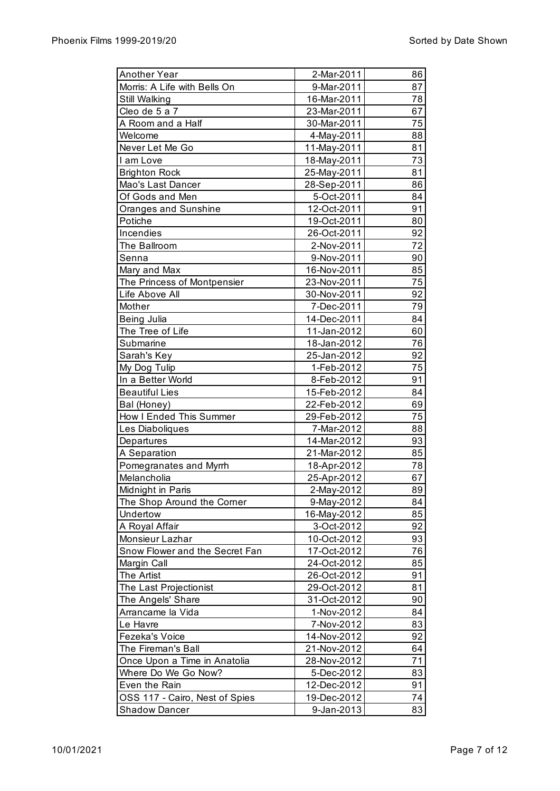| Another Year                   | 2-Mar-2011  | 86 |
|--------------------------------|-------------|----|
| Morris: A Life with Bells On   | 9-Mar-2011  | 87 |
| Still Walking                  | 16-Mar-2011 | 78 |
| Cleo de 5 a 7                  | 23-Mar-2011 | 67 |
| A Room and a Half              | 30-Mar-2011 | 75 |
| Welcome                        | 4-May-2011  | 88 |
| Never Let Me Go                | 11-May-2011 | 81 |
| I am Love                      | 18-May-2011 | 73 |
| <b>Brighton Rock</b>           | 25-May-2011 | 81 |
| Mao's Last Dancer              | 28-Sep-2011 | 86 |
| Of Gods and Men                | 5-Oct-2011  | 84 |
| Oranges and Sunshine           | 12-Oct-2011 | 91 |
| Potiche                        | 19-Oct-2011 | 80 |
| Incendies                      | 26-Oct-2011 | 92 |
| The Ballroom                   | 2-Nov-2011  | 72 |
| Senna                          | 9-Nov-2011  | 90 |
| Mary and Max                   | 16-Nov-2011 | 85 |
| The Princess of Montpensier    | 23-Nov-2011 | 75 |
| Life Above All                 | 30-Nov-2011 | 92 |
| Mother                         | 7-Dec-2011  | 79 |
| Being Julia                    | 14-Dec-2011 | 84 |
| The Tree of Life               | 11-Jan-2012 | 60 |
| Submarine                      | 18-Jan-2012 | 76 |
| Sarah's Key                    | 25-Jan-2012 | 92 |
| My Dog Tulip                   | 1-Feb-2012  | 75 |
| In a Better World              | 8-Feb-2012  | 91 |
| <b>Beautiful Lies</b>          | 15-Feb-2012 | 84 |
| Bal (Honey)                    | 22-Feb-2012 | 69 |
| How I Ended This Summer        | 29-Feb-2012 | 75 |
| Les Diaboliques                | 7-Mar-2012  | 88 |
| Departures                     | 14-Mar-2012 | 93 |
| A Separation                   | 21-Mar-2012 | 85 |
| Pomegranates and Myrrh         | 18-Apr-2012 | 78 |
| Melancholia                    | 25-Apr-2012 | 67 |
| Midnight in Paris              | 2-May-2012  | 89 |
| The Shop Around the Corner     | 9-May-2012  | 84 |
| Undertow                       | 16-May-2012 | 85 |
| A Royal Affair                 | 3-Oct-2012  | 92 |
| Monsieur Lazhar                | 10-Oct-2012 | 93 |
| Snow Flower and the Secret Fan | 17-Oct-2012 | 76 |
| Margin Call                    | 24-Oct-2012 | 85 |
| The Artist                     | 26-Oct-2012 | 91 |
| The Last Projectionist         | 29-Oct-2012 | 81 |
| The Angels' Share              | 31-Oct-2012 | 90 |
| Arrancame la Vida              | 1-Nov-2012  | 84 |
| Le Havre                       | 7-Nov-2012  | 83 |
| Fezeka's Voice                 | 14-Nov-2012 | 92 |
| The Fireman's Ball             | 21-Nov-2012 | 64 |
| Once Upon a Time in Anatolia   | 28-Nov-2012 | 71 |
| Where Do We Go Now?            | 5-Dec-2012  | 83 |
| Even the Rain                  | 12-Dec-2012 | 91 |
| OSS 117 - Cairo, Nest of Spies | 19-Dec-2012 | 74 |
| <b>Shadow Dancer</b>           | 9-Jan-2013  | 83 |
|                                |             |    |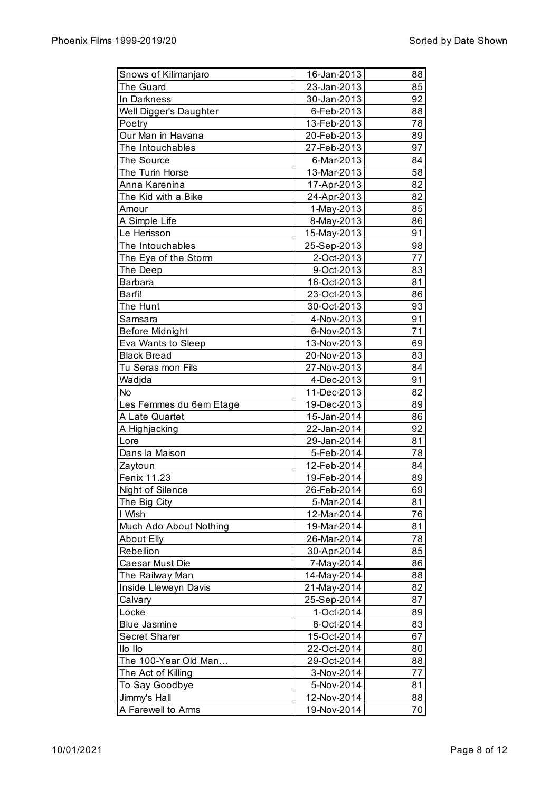| Snows of Kilimanjaro    | 16-Jan-2013 | 88       |
|-------------------------|-------------|----------|
| The Guard               | 23-Jan-2013 | 85       |
| In Darkness             | 30-Jan-2013 | 92       |
| Well Digger's Daughter  | 6-Feb-2013  | 88       |
| Poetry                  | 13-Feb-2013 | 78       |
| Our Man in Havana       | 20-Feb-2013 | 89       |
| The Intouchables        | 27-Feb-2013 | 97       |
| The Source              | 6-Mar-2013  | 84       |
| The Turin Horse         | 13-Mar-2013 | 58       |
| Anna Karenina           | 17-Apr-2013 | 82       |
| The Kid with a Bike     | 24-Apr-2013 | 82       |
| Amour                   | 1-May-2013  | 85       |
| A Simple Life           | 8-May-2013  | 86       |
| Le Herisson             | 15-May-2013 | 91       |
| The Intouchables        | 25-Sep-2013 | 98       |
| The Eye of the Storm    | 2-Oct-2013  | 77       |
| The Deep                | 9-Oct-2013  | 83       |
| <b>Barbara</b>          | 16-Oct-2013 | 81       |
| Barfi!                  | 23-Oct-2013 | 86       |
| The Hunt                | 30-Oct-2013 | 93       |
| Samsara                 | 4-Nov-2013  | 91       |
| <b>Before Midnight</b>  | 6-Nov-2013  | 71       |
| Eva Wants to Sleep      | 13-Nov-2013 | 69       |
| <b>Black Bread</b>      | 20-Nov-2013 | 83       |
| Tu Seras mon Fils       | 27-Nov-2013 | 84       |
| Wadjda                  | 4-Dec-2013  | 91       |
| No                      | 11-Dec-2013 | 82       |
| Les Femmes du 6em Etage | 19-Dec-2013 | 89       |
| A Late Quartet          | 15-Jan-2014 | 86       |
| A Highjacking           | 22-Jan-2014 | 92       |
| Lore                    | 29-Jan-2014 | 81       |
| Dans la Maison          | 5-Feb-2014  | 78       |
| Zaytoun                 | 12-Feb-2014 | 84       |
| Fenix 11.23             | 19-Feb-2014 | 89       |
| Night of Silence        | 26-Feb-2014 | 69       |
| The Big City            | 5-Mar-2014  | 81       |
| I Wish                  | 12-Mar-2014 | 76       |
| Much Ado About Nothing  | 19-Mar-2014 | 81       |
| <b>About Elly</b>       | 26-Mar-2014 | 78       |
| Rebellion               | 30-Apr-2014 | 85       |
| Caesar Must Die         | 7-May-2014  | 86       |
| The Railway Man         | 14-May-2014 | 88       |
|                         |             | 82       |
| Inside Lleweyn Davis    | 21-May-2014 |          |
| Calvary                 | 25-Sep-2014 | 87<br>89 |
| Locke                   | 1-Oct-2014  |          |
| <b>Blue Jasmine</b>     | 8-Oct-2014  | 83       |
| <b>Secret Sharer</b>    | 15-Oct-2014 | 67       |
| Ilo Ilo                 | 22-Oct-2014 | 80       |
| The 100-Year Old Man    | 29-Oct-2014 | 88       |
| The Act of Killing      | 3-Nov-2014  | 77       |
| To Say Goodbye          | 5-Nov-2014  | 81       |
| Jimmy's Hall            | 12-Nov-2014 | 88       |
| A Farewell to Arms      | 19-Nov-2014 | 70       |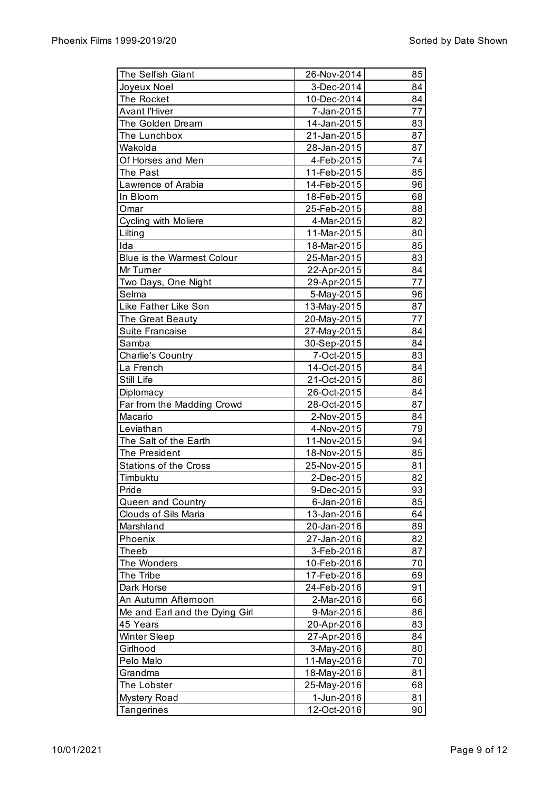| The Selfish Giant                 | 26-Nov-2014 | 85 |
|-----------------------------------|-------------|----|
| Joyeux Noel                       | 3-Dec-2014  | 84 |
| The Rocket                        | 10-Dec-2014 | 84 |
| <b>Avant l'Hiver</b>              | 7-Jan-2015  | 77 |
| The Golden Dream                  | 14-Jan-2015 | 83 |
| The Lunchbox                      | 21-Jan-2015 | 87 |
| Wakolda                           | 28-Jan-2015 | 87 |
| Of Horses and Men                 | 4-Feb-2015  | 74 |
| The Past                          | 11-Feb-2015 | 85 |
| Lawrence of Arabia                | 14-Feb-2015 | 96 |
| In Bloom                          | 18-Feb-2015 | 68 |
| Omar                              | 25-Feb-2015 | 88 |
| Cycling with Moliere              | 4-Mar-2015  | 82 |
| Lilting                           | 11-Mar-2015 | 80 |
| Ida                               | 18-Mar-2015 | 85 |
| <b>Blue is the Warmest Colour</b> | 25-Mar-2015 | 83 |
| Mr Turner                         | 22-Apr-2015 | 84 |
| Two Days, One Night               | 29-Apr-2015 | 77 |
| Selma                             | 5-May-2015  | 96 |
| Like Father Like Son              | 13-May-2015 | 87 |
| The Great Beauty                  | 20-May-2015 | 77 |
| Suite Francaise                   | 27-May-2015 | 84 |
| Samba                             | 30-Sep-2015 | 84 |
| Charlie's Country                 | 7-Oct-2015  | 83 |
| La French                         | 14-Oct-2015 | 84 |
| Still Life                        | 21-Oct-2015 | 86 |
| Diplomacy                         | 26-Oct-2015 | 84 |
| Far from the Madding Crowd        | 28-Oct-2015 | 87 |
| Macario                           | 2-Nov-2015  | 84 |
| Leviathan                         | 4-Nov-2015  | 79 |
| The Salt of the Earth             | 11-Nov-2015 | 94 |
| The President                     | 18-Nov-2015 | 85 |
| <b>Stations of the Cross</b>      | 25-Nov-2015 | 81 |
|                                   |             |    |
| Timbuktu                          | 2-Dec-2015  | 82 |
| Pride                             | 9-Dec-2015  | 93 |
| Queen and Country                 | 6-Jan-2016  | 85 |
| <b>Clouds of Sils Maria</b>       | 13-Jan-2016 | 64 |
| Marshland                         | 20-Jan-2016 | 89 |
| Phoenix                           | 27-Jan-2016 | 82 |
| Theeb                             | 3-Feb-2016  | 87 |
| The Wonders                       | 10-Feb-2016 | 70 |
| The Tribe                         | 17-Feb-2016 | 69 |
| Dark Horse                        | 24-Feb-2016 | 91 |
| An Autumn Afternoon               | 2-Mar-2016  | 66 |
| Me and Earl and the Dying Girl    | 9-Mar-2016  | 86 |
| 45 Years                          | 20-Apr-2016 | 83 |
| <b>Winter Sleep</b>               | 27-Apr-2016 | 84 |
| Girlhood                          | 3-May-2016  | 80 |
| Pelo Malo                         | 11-May-2016 | 70 |
| Grandma                           | 18-May-2016 | 81 |
| The Lobster                       | 25-May-2016 | 68 |
| <b>Mystery Road</b>               | 1-Jun-2016  | 81 |
| Tangerines                        | 12-Oct-2016 | 90 |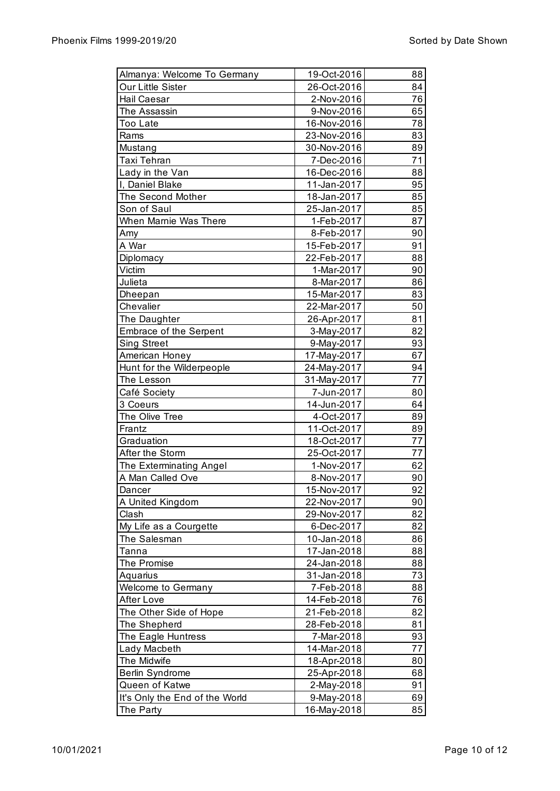| Almanya: Welcome To Germany    | 19-Oct-2016 | 88 |
|--------------------------------|-------------|----|
| Our Little Sister              | 26-Oct-2016 | 84 |
| Hail Caesar                    | 2-Nov-2016  | 76 |
| The Assassin                   | 9-Nov-2016  | 65 |
| Too Late                       | 16-Nov-2016 | 78 |
| Rams                           | 23-Nov-2016 | 83 |
| Mustang                        | 30-Nov-2016 | 89 |
| Taxi Tehran                    | 7-Dec-2016  | 71 |
| Lady in the Van                | 16-Dec-2016 | 88 |
| I, Daniel Blake                | 11-Jan-2017 | 95 |
| The Second Mother              | 18-Jan-2017 | 85 |
| Son of Saul                    | 25-Jan-2017 | 85 |
| When Marnie Was There          | 1-Feb-2017  | 87 |
| Amy                            | 8-Feb-2017  | 90 |
| A War                          | 15-Feb-2017 | 91 |
| Diplomacy                      | 22-Feb-2017 | 88 |
| Victim                         | 1-Mar-2017  | 90 |
| Julieta                        | 8-Mar-2017  | 86 |
| Dheepan                        | 15-Mar-2017 | 83 |
| Chevalier                      | 22-Mar-2017 | 50 |
| The Daughter                   | 26-Apr-2017 | 81 |
| <b>Embrace of the Serpent</b>  | 3-May-2017  | 82 |
| <b>Sing Street</b>             | 9-May-2017  | 93 |
| American Honey                 | 17-May-2017 | 67 |
| Hunt for the Wilderpeople      | 24-May-2017 | 94 |
| The Lesson                     | 31-May-2017 | 77 |
| Café Society                   | 7-Jun-2017  | 80 |
| 3 Coeurs                       | 14-Jun-2017 | 64 |
| The Olive Tree                 | 4-Oct-2017  | 89 |
| Frantz                         | 11-Oct-2017 | 89 |
| Graduation                     | 18-Oct-2017 | 77 |
| After the Storm                | 25-Oct-2017 | 77 |
| The Exterminating Angel        | 1-Nov-2017  | 62 |
| A Man Called Ove               | 8-Nov-2017  | 90 |
| Dancer                         | 15-Nov-2017 | 92 |
| A United Kingdom               | 22-Nov-2017 | 90 |
| Clash                          | 29-Nov-2017 | 82 |
| My Life as a Courgette         | 6-Dec-2017  | 82 |
| The Salesman                   | 10-Jan-2018 | 86 |
| Tanna                          | 17-Jan-2018 | 88 |
| The Promise                    | 24-Jan-2018 | 88 |
| Aquarius                       | 31-Jan-2018 | 73 |
| Welcome to Germany             | 7-Feb-2018  | 88 |
| After Love                     | 14-Feb-2018 | 76 |
| The Other Side of Hope         | 21-Feb-2018 | 82 |
| The Shepherd                   | 28-Feb-2018 | 81 |
| The Eagle Huntress             | 7-Mar-2018  | 93 |
| Lady Macbeth                   | 14-Mar-2018 | 77 |
| The Midwife                    | 18-Apr-2018 | 80 |
| Berlin Syndrome                | 25-Apr-2018 | 68 |
| Queen of Katwe                 | 2-May-2018  | 91 |
| It's Only the End of the World | 9-May-2018  | 69 |
| The Party                      | 16-May-2018 | 85 |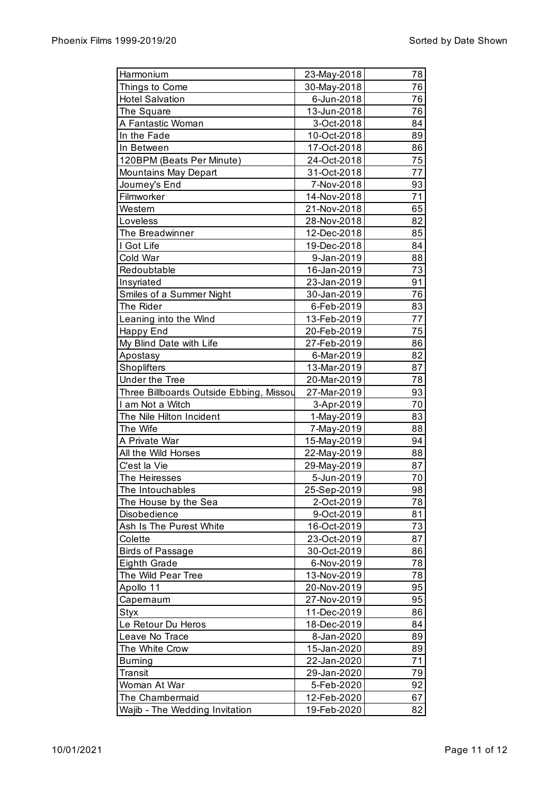| Harmonium                               | 23-May-2018 | 78 |
|-----------------------------------------|-------------|----|
| Things to Come                          | 30-May-2018 | 76 |
| <b>Hotel Salvation</b>                  | 6-Jun-2018  | 76 |
| The Square                              | 13-Jun-2018 | 76 |
| A Fantastic Woman                       | 3-Oct-2018  | 84 |
| In the Fade                             | 10-Oct-2018 | 89 |
| In Between                              | 17-Oct-2018 | 86 |
| 120BPM (Beats Per Minute)               | 24-Oct-2018 | 75 |
| Mountains May Depart                    | 31-Oct-2018 | 77 |
| Journey's End                           | 7-Nov-2018  | 93 |
| Filmworker                              | 14-Nov-2018 | 71 |
| Western                                 | 21-Nov-2018 | 65 |
| Loveless                                | 28-Nov-2018 | 82 |
| The Breadwinner                         | 12-Dec-2018 | 85 |
| I Got Life                              | 19-Dec-2018 | 84 |
| Cold War                                | 9-Jan-2019  | 88 |
| Redoubtable                             | 16-Jan-2019 | 73 |
|                                         | 23-Jan-2019 | 91 |
| Insyriated                              |             |    |
| Smiles of a Summer Night<br>The Rider   | 30-Jan-2019 | 76 |
|                                         | 6-Feb-2019  | 83 |
| Leaning into the Wind                   | 13-Feb-2019 | 77 |
| Happy End                               | 20-Feb-2019 | 75 |
| My Blind Date with Life                 | 27-Feb-2019 | 86 |
| Apostasy                                | 6-Mar-2019  | 82 |
| Shoplifters                             | 13-Mar-2019 | 87 |
| <b>Under the Tree</b>                   | 20-Mar-2019 | 78 |
| Three Billboards Outside Ebbing, Missou | 27-Mar-2019 | 93 |
| I am Not a Witch                        | 3-Apr-2019  | 70 |
| The Nile Hilton Incident                | 1-May-2019  | 83 |
| The Wife                                | 7-May-2019  | 88 |
| A Private War                           | 15-May-2019 | 94 |
| All the Wild Horses                     | 22-May-2019 | 88 |
| C'est la Vie                            | 29-May-2019 | 87 |
| The Heiresses                           | 5-Jun-2019  | 70 |
| The Intouchables                        | 25-Sep-2019 | 98 |
| The House by the Sea                    | 2-Oct-2019  | 78 |
| Disobedience                            | 9-Oct-2019  | 81 |
| Ash Is The Purest White                 | 16-Oct-2019 | 73 |
| Colette                                 | 23-Oct-2019 | 87 |
| <b>Birds of Passage</b>                 | 30-Oct-2019 | 86 |
| <b>Eighth Grade</b>                     | 6-Nov-2019  | 78 |
| The Wild Pear Tree                      | 13-Nov-2019 | 78 |
| Apollo 11                               | 20-Nov-2019 | 95 |
| Capernaum                               | 27-Nov-2019 | 95 |
| Styx                                    | 11-Dec-2019 | 86 |
| Le Retour Du Heros                      | 18-Dec-2019 | 84 |
| Leave No Trace                          | 8-Jan-2020  | 89 |
| The White Crow                          | 15-Jan-2020 | 89 |
| <b>Burning</b>                          | 22-Jan-2020 | 71 |
| Transit                                 | 29-Jan-2020 | 79 |
| Woman At War                            | 5-Feb-2020  | 92 |
| The Chambermaid                         | 12-Feb-2020 | 67 |
| Wajib - The Wedding Invitation          | 19-Feb-2020 | 82 |
|                                         |             |    |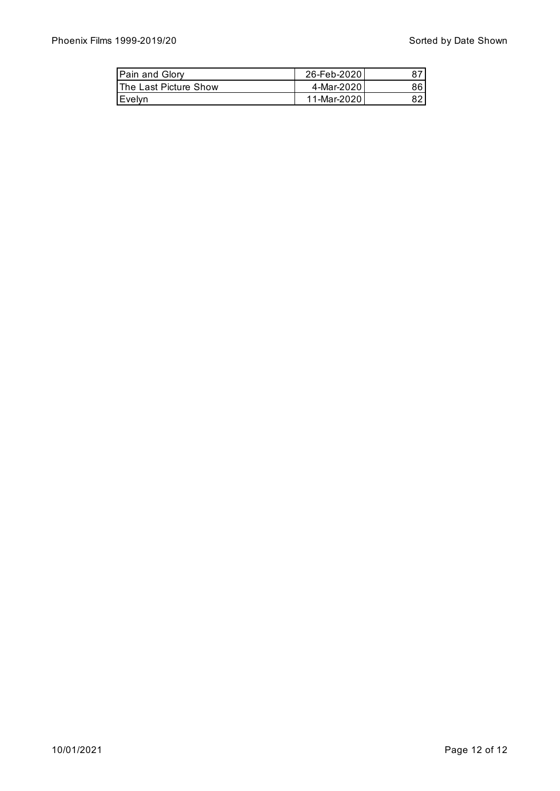| Pain and Glory                | 26-Feb-2020  |    |
|-------------------------------|--------------|----|
| <b>IThe Last Picture Show</b> | 4-Mar-20201  | 86 |
| I Evelvn                      | 11-Mar-20201 |    |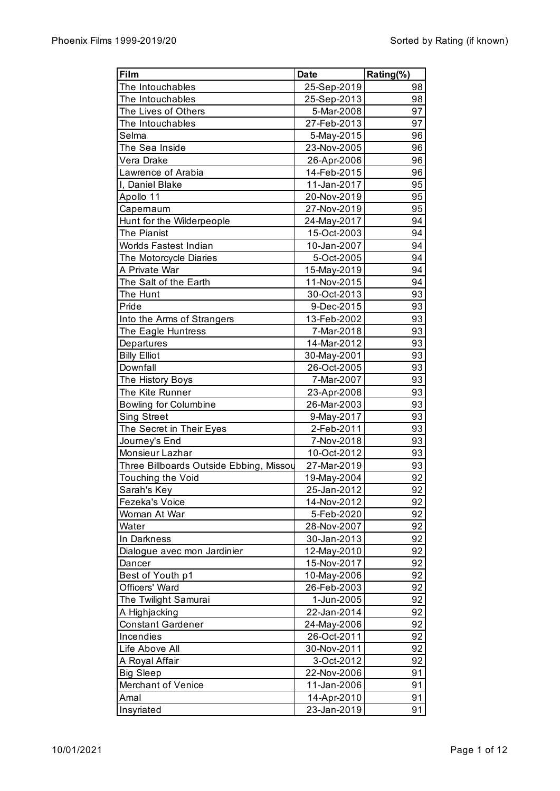|             | Rating(%)                                                                                                                                                                                                                                                                                                                                                                                                                                                                                                                                                                                                                                                                                                                         |
|-------------|-----------------------------------------------------------------------------------------------------------------------------------------------------------------------------------------------------------------------------------------------------------------------------------------------------------------------------------------------------------------------------------------------------------------------------------------------------------------------------------------------------------------------------------------------------------------------------------------------------------------------------------------------------------------------------------------------------------------------------------|
| 25-Sep-2019 | 98                                                                                                                                                                                                                                                                                                                                                                                                                                                                                                                                                                                                                                                                                                                                |
| 25-Sep-2013 | 98                                                                                                                                                                                                                                                                                                                                                                                                                                                                                                                                                                                                                                                                                                                                |
| 5-Mar-2008  | 97                                                                                                                                                                                                                                                                                                                                                                                                                                                                                                                                                                                                                                                                                                                                |
| 27-Feb-2013 | 97                                                                                                                                                                                                                                                                                                                                                                                                                                                                                                                                                                                                                                                                                                                                |
|             | 96                                                                                                                                                                                                                                                                                                                                                                                                                                                                                                                                                                                                                                                                                                                                |
|             | 96                                                                                                                                                                                                                                                                                                                                                                                                                                                                                                                                                                                                                                                                                                                                |
|             | 96                                                                                                                                                                                                                                                                                                                                                                                                                                                                                                                                                                                                                                                                                                                                |
|             | 96                                                                                                                                                                                                                                                                                                                                                                                                                                                                                                                                                                                                                                                                                                                                |
|             | 95                                                                                                                                                                                                                                                                                                                                                                                                                                                                                                                                                                                                                                                                                                                                |
|             | 95                                                                                                                                                                                                                                                                                                                                                                                                                                                                                                                                                                                                                                                                                                                                |
|             | 95                                                                                                                                                                                                                                                                                                                                                                                                                                                                                                                                                                                                                                                                                                                                |
|             | 94                                                                                                                                                                                                                                                                                                                                                                                                                                                                                                                                                                                                                                                                                                                                |
|             | 94                                                                                                                                                                                                                                                                                                                                                                                                                                                                                                                                                                                                                                                                                                                                |
|             | 94                                                                                                                                                                                                                                                                                                                                                                                                                                                                                                                                                                                                                                                                                                                                |
|             | 94                                                                                                                                                                                                                                                                                                                                                                                                                                                                                                                                                                                                                                                                                                                                |
|             | 94                                                                                                                                                                                                                                                                                                                                                                                                                                                                                                                                                                                                                                                                                                                                |
|             | 94                                                                                                                                                                                                                                                                                                                                                                                                                                                                                                                                                                                                                                                                                                                                |
|             | 93                                                                                                                                                                                                                                                                                                                                                                                                                                                                                                                                                                                                                                                                                                                                |
|             | 93                                                                                                                                                                                                                                                                                                                                                                                                                                                                                                                                                                                                                                                                                                                                |
|             | 93                                                                                                                                                                                                                                                                                                                                                                                                                                                                                                                                                                                                                                                                                                                                |
|             | 93                                                                                                                                                                                                                                                                                                                                                                                                                                                                                                                                                                                                                                                                                                                                |
|             | 93                                                                                                                                                                                                                                                                                                                                                                                                                                                                                                                                                                                                                                                                                                                                |
|             | 93                                                                                                                                                                                                                                                                                                                                                                                                                                                                                                                                                                                                                                                                                                                                |
|             | 93                                                                                                                                                                                                                                                                                                                                                                                                                                                                                                                                                                                                                                                                                                                                |
|             | 93                                                                                                                                                                                                                                                                                                                                                                                                                                                                                                                                                                                                                                                                                                                                |
|             | 93                                                                                                                                                                                                                                                                                                                                                                                                                                                                                                                                                                                                                                                                                                                                |
|             | 93                                                                                                                                                                                                                                                                                                                                                                                                                                                                                                                                                                                                                                                                                                                                |
|             | 93                                                                                                                                                                                                                                                                                                                                                                                                                                                                                                                                                                                                                                                                                                                                |
|             | 93                                                                                                                                                                                                                                                                                                                                                                                                                                                                                                                                                                                                                                                                                                                                |
|             | 93                                                                                                                                                                                                                                                                                                                                                                                                                                                                                                                                                                                                                                                                                                                                |
|             | 93                                                                                                                                                                                                                                                                                                                                                                                                                                                                                                                                                                                                                                                                                                                                |
|             | 93                                                                                                                                                                                                                                                                                                                                                                                                                                                                                                                                                                                                                                                                                                                                |
|             | 92                                                                                                                                                                                                                                                                                                                                                                                                                                                                                                                                                                                                                                                                                                                                |
|             | 92                                                                                                                                                                                                                                                                                                                                                                                                                                                                                                                                                                                                                                                                                                                                |
|             | 92                                                                                                                                                                                                                                                                                                                                                                                                                                                                                                                                                                                                                                                                                                                                |
|             | 92                                                                                                                                                                                                                                                                                                                                                                                                                                                                                                                                                                                                                                                                                                                                |
|             | 92                                                                                                                                                                                                                                                                                                                                                                                                                                                                                                                                                                                                                                                                                                                                |
|             | 92                                                                                                                                                                                                                                                                                                                                                                                                                                                                                                                                                                                                                                                                                                                                |
|             | 92                                                                                                                                                                                                                                                                                                                                                                                                                                                                                                                                                                                                                                                                                                                                |
|             | 92                                                                                                                                                                                                                                                                                                                                                                                                                                                                                                                                                                                                                                                                                                                                |
|             | 92                                                                                                                                                                                                                                                                                                                                                                                                                                                                                                                                                                                                                                                                                                                                |
|             | 92                                                                                                                                                                                                                                                                                                                                                                                                                                                                                                                                                                                                                                                                                                                                |
|             | 92                                                                                                                                                                                                                                                                                                                                                                                                                                                                                                                                                                                                                                                                                                                                |
|             | 92                                                                                                                                                                                                                                                                                                                                                                                                                                                                                                                                                                                                                                                                                                                                |
|             | 92                                                                                                                                                                                                                                                                                                                                                                                                                                                                                                                                                                                                                                                                                                                                |
|             | 92                                                                                                                                                                                                                                                                                                                                                                                                                                                                                                                                                                                                                                                                                                                                |
|             | 92                                                                                                                                                                                                                                                                                                                                                                                                                                                                                                                                                                                                                                                                                                                                |
|             | 92                                                                                                                                                                                                                                                                                                                                                                                                                                                                                                                                                                                                                                                                                                                                |
|             | 91                                                                                                                                                                                                                                                                                                                                                                                                                                                                                                                                                                                                                                                                                                                                |
|             | 91                                                                                                                                                                                                                                                                                                                                                                                                                                                                                                                                                                                                                                                                                                                                |
|             | 91                                                                                                                                                                                                                                                                                                                                                                                                                                                                                                                                                                                                                                                                                                                                |
|             | 91                                                                                                                                                                                                                                                                                                                                                                                                                                                                                                                                                                                                                                                                                                                                |
|             | 5-May-2015<br>23-Nov-2005<br>26-Apr-2006<br>14-Feb-2015<br>11-Jan-2017<br>20-Nov-2019<br>27-Nov-2019<br>24-May-2017<br>15-Oct-2003<br>10-Jan-2007<br>5-Oct-2005<br>15-May-2019<br>11-Nov-2015<br>30-Oct-2013<br>9-Dec-2015<br>13-Feb-2002<br>7-Mar-2018<br>14-Mar-2012<br>30-May-2001<br>26-Oct-2005<br>7-Mar-2007<br>23-Apr-2008<br>26-Mar-2003<br>9-May-2017<br>2-Feb-2011<br>7-Nov-2018<br>10-Oct-2012<br>27-Mar-2019<br>19-May-2004<br>25-Jan-2012<br>14-Nov-2012<br>5-Feb-2020<br>28-Nov-2007<br>30-Jan-2013<br>12-May-2010<br>15-Nov-2017<br>10-May-2006<br>26-Feb-2003<br>1-Jun-2005<br>22-Jan-2014<br>24-May-2006<br>26-Oct-2011<br>30-Nov-2011<br>3-Oct-2012<br>22-Nov-2006<br>11-Jan-2006<br>14-Apr-2010<br>23-Jan-2019 |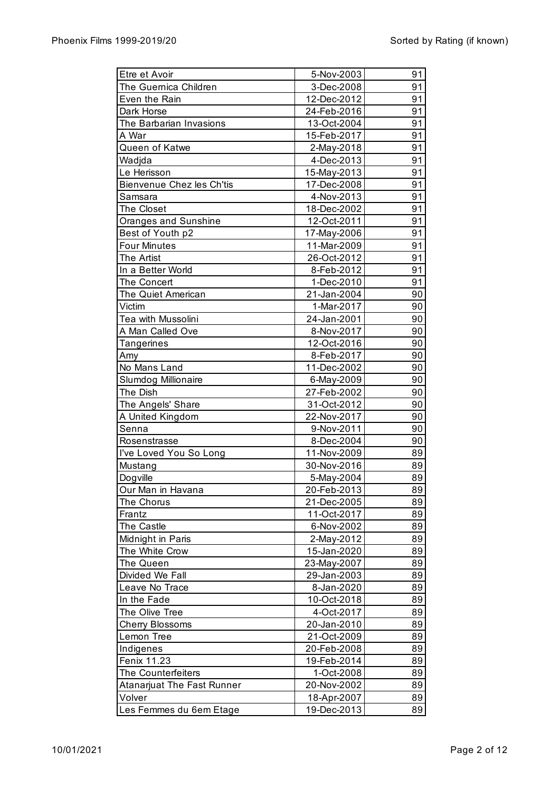| Etre et Avoir              | 5-Nov-2003  | 91 |
|----------------------------|-------------|----|
| The Guernica Children      | 3-Dec-2008  | 91 |
| Even the Rain              | 12-Dec-2012 | 91 |
| Dark Horse                 | 24-Feb-2016 | 91 |
| The Barbarian Invasions    | 13-Oct-2004 | 91 |
| A War                      | 15-Feb-2017 | 91 |
| Queen of Katwe             | 2-May-2018  | 91 |
| Wadjda                     | 4-Dec-2013  | 91 |
| Le Herisson                | 15-May-2013 | 91 |
| Bienvenue Chez les Ch'tis  | 17-Dec-2008 | 91 |
| Samsara                    | 4-Nov-2013  | 91 |
| The Closet                 | 18-Dec-2002 | 91 |
| Oranges and Sunshine       | 12-Oct-2011 | 91 |
| Best of Youth p2           | 17-May-2006 | 91 |
| <b>Four Minutes</b>        | 11-Mar-2009 | 91 |
| The Artist                 | 26-Oct-2012 | 91 |
| In a Better World          | 8-Feb-2012  | 91 |
| The Concert                | 1-Dec-2010  | 91 |
| The Quiet American         | 21-Jan-2004 | 90 |
| Victim                     | 1-Mar-2017  | 90 |
| Tea with Mussolini         | 24-Jan-2001 | 90 |
| A Man Called Ove           | 8-Nov-2017  | 90 |
| Tangerines                 | 12-Oct-2016 | 90 |
| Amy                        | 8-Feb-2017  | 90 |
| No Mans Land               | 11-Dec-2002 | 90 |
| Slumdog Millionaire        | 6-May-2009  | 90 |
| The Dish                   | 27-Feb-2002 | 90 |
| The Angels' Share          | 31-Oct-2012 | 90 |
| A United Kingdom           | 22-Nov-2017 | 90 |
| Senna                      | 9-Nov-2011  | 90 |
| Rosenstrasse               | 8-Dec-2004  | 90 |
| I've Loved You So Long     | 11-Nov-2009 | 89 |
| Mustang                    | 30-Nov-2016 | 89 |
| Dogville                   | 5-May-2004  | 89 |
| Our Man in Havana          | 20-Feb-2013 | 89 |
| The Chorus                 | 21-Dec-2005 | 89 |
| Frantz                     | 11-Oct-2017 | 89 |
| The Castle                 | 6-Nov-2002  | 89 |
| Midnight in Paris          | 2-May-2012  | 89 |
| The White Crow             | 15-Jan-2020 | 89 |
| The Queen                  | 23-May-2007 | 89 |
| Divided We Fall            | 29-Jan-2003 | 89 |
| Leave No Trace             | 8-Jan-2020  | 89 |
| In the Fade                | 10-Oct-2018 | 89 |
| The Olive Tree             | 4-Oct-2017  | 89 |
| <b>Cherry Blossoms</b>     | 20-Jan-2010 | 89 |
| Lemon Tree                 | 21-Oct-2009 | 89 |
| Indigenes                  | 20-Feb-2008 | 89 |
| Fenix 11.23                | 19-Feb-2014 | 89 |
| The Counterfeiters         | 1-Oct-2008  | 89 |
| Atanarjuat The Fast Runner | 20-Nov-2002 | 89 |
| Volver                     | 18-Apr-2007 | 89 |
| Les Femmes du 6em Etage    | 19-Dec-2013 | 89 |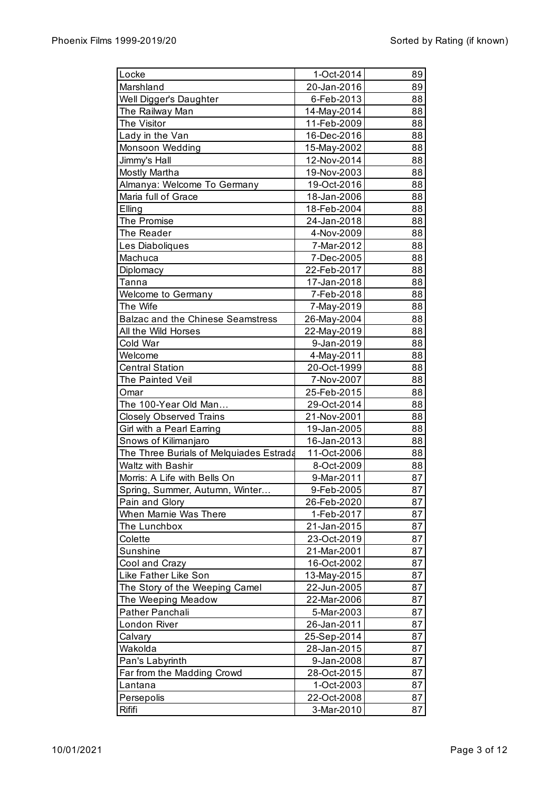| Locke                                    | 1-Oct-2014  | 89 |
|------------------------------------------|-------------|----|
| Marshland                                | 20-Jan-2016 | 89 |
| Well Digger's Daughter                   | 6-Feb-2013  | 88 |
| The Railway Man                          | 14-May-2014 | 88 |
| The Visitor                              | 11-Feb-2009 | 88 |
| Lady in the Van                          | 16-Dec-2016 | 88 |
| Monsoon Wedding                          | 15-May-2002 | 88 |
| Jimmy's Hall                             | 12-Nov-2014 | 88 |
| Mostly Martha                            | 19-Nov-2003 | 88 |
| Almanya: Welcome To Germany              | 19-Oct-2016 | 88 |
| Maria full of Grace                      | 18-Jan-2006 | 88 |
| Elling                                   | 18-Feb-2004 | 88 |
| The Promise                              | 24-Jan-2018 | 88 |
| The Reader                               | 4-Nov-2009  | 88 |
| Les Diaboliques                          | 7-Mar-2012  | 88 |
| Machuca                                  | 7-Dec-2005  | 88 |
| Diplomacy                                | 22-Feb-2017 | 88 |
| Tanna                                    | 17-Jan-2018 | 88 |
|                                          |             | 88 |
| Welcome to Germany<br>The Wife           | 7-Feb-2018  | 88 |
| <b>Balzac and the Chinese Seamstress</b> | 7-May-2019  |    |
|                                          | 26-May-2004 | 88 |
| All the Wild Horses                      | 22-May-2019 | 88 |
| Cold War                                 | 9-Jan-2019  | 88 |
| Welcome                                  | 4-May-2011  | 88 |
| <b>Central Station</b>                   | 20-Oct-1999 | 88 |
| The Painted Veil                         | 7-Nov-2007  | 88 |
| Omar                                     | 25-Feb-2015 | 88 |
| The 100-Year Old Man                     | 29-Oct-2014 | 88 |
| <b>Closely Observed Trains</b>           | 21-Nov-2001 | 88 |
| Girl with a Pearl Earring                | 19-Jan-2005 | 88 |
| Snows of Kilimanjaro                     | 16-Jan-2013 | 88 |
| The Three Burials of Melquiades Estrada  | 11-Oct-2006 | 88 |
| Waltz with Bashir                        | 8-Oct-2009  | 88 |
| Morris: A Life with Bells On             | 9-Mar-2011  | 87 |
| Spring, Summer, Autumn, Winter           | 9-Feb-2005  | 87 |
| Pain and Glory                           | 26-Feb-2020 | 87 |
| When Marnie Was There                    | 1-Feb-2017  | 87 |
| The Lunchbox                             | 21-Jan-2015 | 87 |
| Colette                                  | 23-Oct-2019 | 87 |
| Sunshine                                 | 21-Mar-2001 | 87 |
| Cool and Crazy                           | 16-Oct-2002 | 87 |
| Like Father Like Son                     | 13-May-2015 | 87 |
| The Story of the Weeping Camel           | 22-Jun-2005 | 87 |
| The Weeping Meadow                       | 22-Mar-2006 | 87 |
| Pather Panchali                          | 5-Mar-2003  | 87 |
| London River                             | 26-Jan-2011 | 87 |
| Calvary                                  | 25-Sep-2014 | 87 |
| Wakolda                                  | 28-Jan-2015 | 87 |
| Pan's Labyrinth                          | 9-Jan-2008  | 87 |
| Far from the Madding Crowd               | 28-Oct-2015 | 87 |
| Lantana                                  | 1-Oct-2003  | 87 |
| Persepolis                               | 22-Oct-2008 | 87 |
| Rififi                                   | 3-Mar-2010  | 87 |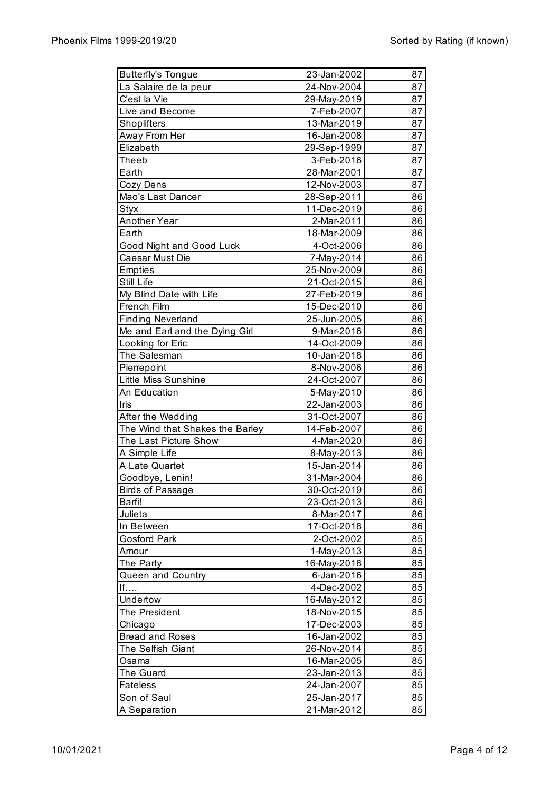| <b>Butterfly's Tongue</b>       | 23-Jan-2002               | 87       |
|---------------------------------|---------------------------|----------|
| La Salaire de la peur           | 24-Nov-2004               | 87       |
| C'est la Vie                    | 29-May-2019               | 87       |
| Live and Become                 | 7-Feb-2007                | 87       |
| Shoplifters                     | 13-Mar-2019               | 87       |
| Away From Her                   | 16-Jan-2008               | 87       |
| Elizabeth                       | 29-Sep-1999               | 87       |
| Theeb                           | 3-Feb-2016                | 87       |
| Earth                           | 28-Mar-2001               | 87       |
| Cozy Dens                       | 12-Nov-2003               | 87       |
| Mao's Last Dancer               | 28-Sep-2011               | 86       |
| Styx                            | 11-Dec-2019               | 86       |
| Another Year                    | 2-Mar-2011                | 86       |
| Earth                           | 18-Mar-2009               | 86       |
| Good Night and Good Luck        | 4-Oct-2006                | 86       |
| Caesar Must Die                 | 7-May-2014                | 86       |
| <b>Empties</b>                  | 25-Nov-2009               | 86       |
| Still Life                      | 21-Oct-2015               | 86       |
| My Blind Date with Life         | 27-Feb-2019               | 86       |
| French Film                     | 15-Dec-2010               | 86       |
| <b>Finding Neverland</b>        | 25-Jun-2005               | 86       |
| Me and Earl and the Dying Girl  | 9-Mar-2016                | 86       |
| Looking for Eric                | 14-Oct-2009               | 86       |
| The Salesman                    | 10-Jan-2018               | 86       |
| Pierrepoint                     | 8-Nov-2006                | 86       |
| <b>Little Miss Sunshine</b>     | 24-Oct-2007               | 86       |
| An Education                    | 5-May-2010                | 86       |
| Iris                            | 22-Jan-2003               | 86       |
| After the Wedding               | 31-Oct-2007               | 86       |
| The Wind that Shakes the Barley | 14-Feb-2007               | 86       |
| The Last Picture Show           | 4-Mar-2020                | 86       |
|                                 |                           |          |
| A Simple Life<br>A Late Quartet | 8-May-2013<br>15-Jan-2014 | 86<br>86 |
|                                 |                           |          |
| Goodbye, Lenin!                 | 31-Mar-2004               | 86       |
| Birds of Passage                | 30-Oct-2019               | 86       |
| Barfi!                          | 23-Oct-2013               | 86       |
| Julieta                         | 8-Mar-2017                | 86       |
| In Between                      | 17-Oct-2018               | 86       |
| <b>Gosford Park</b>             | 2-Oct-2002                | 85       |
| Amour                           | 1-May-2013                | 85       |
| The Party                       | 16-May-2018               | 85       |
| Queen and Country               | 6-Jan-2016                | 85       |
| If                              | 4-Dec-2002                | 85       |
| Undertow                        | 16-May-2012               | 85       |
| The President                   | 18-Nov-2015               | 85       |
| Chicago                         | 17-Dec-2003               | 85       |
| <b>Bread and Roses</b>          | 16-Jan-2002               | 85       |
| The Selfish Giant               | 26-Nov-2014               | 85       |
| Osama                           | 16-Mar-2005               | 85       |
| The Guard                       | 23-Jan-2013               | 85       |
| <b>Fateless</b>                 | 24-Jan-2007               | 85       |
| Son of Saul                     | 25-Jan-2017               | 85       |
| A Separation                    | 21-Mar-2012               | 85       |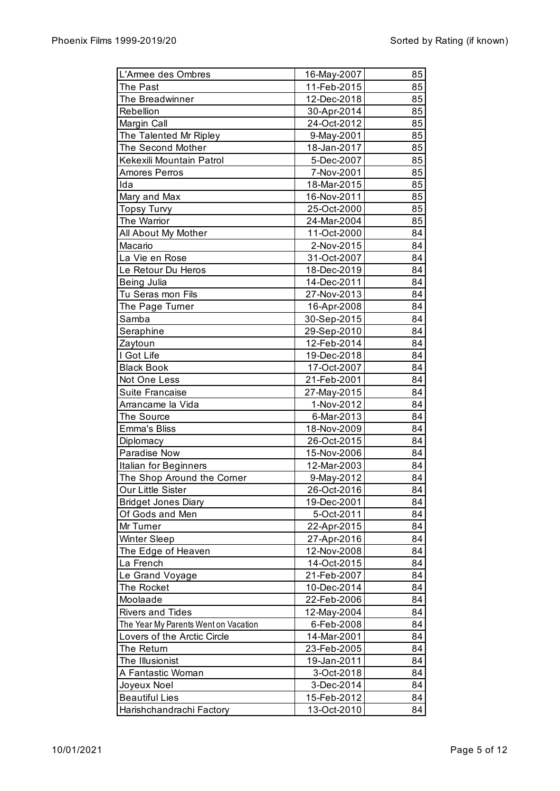| L'Armee des Ombres                                                  | 16-May-2007 | 85 |
|---------------------------------------------------------------------|-------------|----|
| The Past                                                            | 11-Feb-2015 | 85 |
| The Breadwinner                                                     | 12-Dec-2018 | 85 |
| Rebellion                                                           | 30-Apr-2014 | 85 |
| Margin Call                                                         | 24-Oct-2012 | 85 |
| The Talented Mr Ripley                                              | 9-May-2001  | 85 |
| The Second Mother                                                   | 18-Jan-2017 | 85 |
| Kekexili Mountain Patrol                                            | 5-Dec-2007  | 85 |
| Amores Perros                                                       | 7-Nov-2001  | 85 |
| Ida                                                                 | 18-Mar-2015 | 85 |
| Mary and Max                                                        | 16-Nov-2011 | 85 |
| <b>Topsy Turvy</b>                                                  | 25-Oct-2000 | 85 |
| The Warrior                                                         | 24-Mar-2004 | 85 |
| All About My Mother                                                 | 11-Oct-2000 | 84 |
| Macario                                                             | 2-Nov-2015  | 84 |
| La Vie en Rose                                                      | 31-Oct-2007 | 84 |
| Le Retour Du Heros                                                  | 18-Dec-2019 | 84 |
| Being Julia                                                         | 14-Dec-2011 | 84 |
| Tu Seras mon Fils                                                   | 27-Nov-2013 | 84 |
| The Page Turner                                                     | 16-Apr-2008 | 84 |
| Samba                                                               | 30-Sep-2015 | 84 |
| Seraphine                                                           | 29-Sep-2010 | 84 |
| Zaytoun                                                             | 12-Feb-2014 | 84 |
| I Got Life                                                          | 19-Dec-2018 | 84 |
| <b>Black Book</b>                                                   | 17-Oct-2007 | 84 |
| Not One Less                                                        | 21-Feb-2001 | 84 |
| Suite Francaise                                                     | 27-May-2015 | 84 |
| Arrancame la Vida                                                   | 1-Nov-2012  | 84 |
| The Source                                                          | 6-Mar-2013  | 84 |
| <b>Emma's Bliss</b>                                                 | 18-Nov-2009 | 84 |
| Diplomacy                                                           | 26-Oct-2015 | 84 |
| Paradise Now                                                        | 15-Nov-2006 | 84 |
| Italian for Beginners                                               | 12-Mar-2003 | 84 |
| The Shop Around the Corner                                          | 9-May-2012  | 84 |
| Our Little Sister                                                   | 26-Oct-2016 | 84 |
| <b>Bridget Jones Diary</b>                                          | 19-Dec-2001 | 84 |
| Of Gods and Men                                                     | 5-Oct-2011  | 84 |
| Mr Turner                                                           | 22-Apr-2015 | 84 |
| <b>Winter Sleep</b>                                                 | 27-Apr-2016 | 84 |
| The Edge of Heaven                                                  | 12-Nov-2008 | 84 |
| La French                                                           | 14-Oct-2015 | 84 |
| Le Grand Voyage                                                     | 21-Feb-2007 | 84 |
| The Rocket                                                          | 10-Dec-2014 | 84 |
| Moolaade                                                            | 22-Feb-2006 | 84 |
| <b>Rivers and Tides</b>                                             |             | 84 |
|                                                                     | 12-May-2004 |    |
| The Year My Parents Went on Vacation<br>Lovers of the Arctic Circle | 6-Feb-2008  | 84 |
|                                                                     | 14-Mar-2001 | 84 |
| The Return                                                          | 23-Feb-2005 | 84 |
| The Illusionist                                                     | 19-Jan-2011 | 84 |
| A Fantastic Woman                                                   | 3-Oct-2018  | 84 |
| Joyeux Noel                                                         | 3-Dec-2014  | 84 |
| <b>Beautiful Lies</b>                                               | 15-Feb-2012 | 84 |
| Harishchandrachi Factory                                            | 13-Oct-2010 | 84 |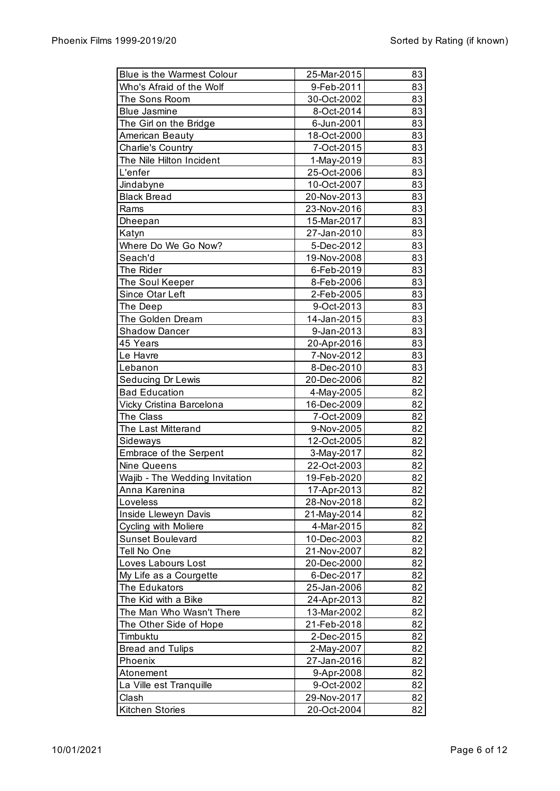| <b>Blue is the Warmest Colour</b> | 25-Mar-2015 | 83 |
|-----------------------------------|-------------|----|
| Who's Afraid of the Wolf          | 9-Feb-2011  | 83 |
| The Sons Room                     | 30-Oct-2002 | 83 |
| <b>Blue Jasmine</b>               | 8-Oct-2014  | 83 |
| The Girl on the Bridge            | 6-Jun-2001  | 83 |
| American Beauty                   | 18-Oct-2000 | 83 |
| <b>Charlie's Country</b>          | 7-Oct-2015  | 83 |
| The Nile Hilton Incident          | 1-May-2019  | 83 |
| L'enfer                           | 25-Oct-2006 | 83 |
| Jindabyne                         | 10-Oct-2007 | 83 |
| <b>Black Bread</b>                | 20-Nov-2013 | 83 |
| Rams                              | 23-Nov-2016 | 83 |
| Dheepan                           | 15-Mar-2017 | 83 |
| Katyn                             | 27-Jan-2010 | 83 |
| Where Do We Go Now?               | 5-Dec-2012  | 83 |
| Seach'd                           | 19-Nov-2008 | 83 |
| The Rider                         | 6-Feb-2019  | 83 |
| The Soul Keeper                   | 8-Feb-2006  | 83 |
| Since Otar Left                   | 2-Feb-2005  | 83 |
| The Deep                          | 9-Oct-2013  | 83 |
| The Golden Dream                  | 14-Jan-2015 | 83 |
| <b>Shadow Dancer</b>              | 9-Jan-2013  | 83 |
| 45 Years                          | 20-Apr-2016 | 83 |
| Le Havre                          | 7-Nov-2012  | 83 |
| Lebanon                           | 8-Dec-2010  | 83 |
| Seducing Dr Lewis                 | 20-Dec-2006 | 82 |
| <b>Bad Education</b>              | 4-May-2005  | 82 |
| Vicky Cristina Barcelona          | 16-Dec-2009 | 82 |
| The Class                         | 7-Oct-2009  | 82 |
| The Last Mitterand                | 9-Nov-2005  | 82 |
| Sideways                          | 12-Oct-2005 | 82 |
| <b>Embrace of the Serpent</b>     | 3-May-2017  | 82 |
| Nine Queens                       | 22-Oct-2003 | 82 |
| Wajib - The Wedding Invitation    | 19-Feb-2020 | 82 |
| Anna Karenina                     | 17-Apr-2013 | 82 |
| Loveless                          | 28-Nov-2018 | 82 |
| Inside Lleweyn Davis              | 21-May-2014 | 82 |
| <b>Cycling with Moliere</b>       | 4-Mar-2015  | 82 |
| Sunset Boulevard                  | 10-Dec-2003 | 82 |
| Tell No One                       | 21-Nov-2007 | 82 |
| Loves Labours Lost                | 20-Dec-2000 | 82 |
| My Life as a Courgette            | 6-Dec-2017  | 82 |
| The Edukators                     | 25-Jan-2006 | 82 |
| The Kid with a Bike               | 24-Apr-2013 | 82 |
| The Man Who Wasn't There          | 13-Mar-2002 | 82 |
| The Other Side of Hope            | 21-Feb-2018 | 82 |
| Timbuktu                          | 2-Dec-2015  | 82 |
| <b>Bread and Tulips</b>           | 2-May-2007  | 82 |
| Phoenix                           | 27-Jan-2016 | 82 |
| Atonement                         | 9-Apr-2008  | 82 |
| La Ville est Tranquille           | 9-Oct-2002  | 82 |
| Clash                             | 29-Nov-2017 | 82 |
| <b>Kitchen Stories</b>            | 20-Oct-2004 | 82 |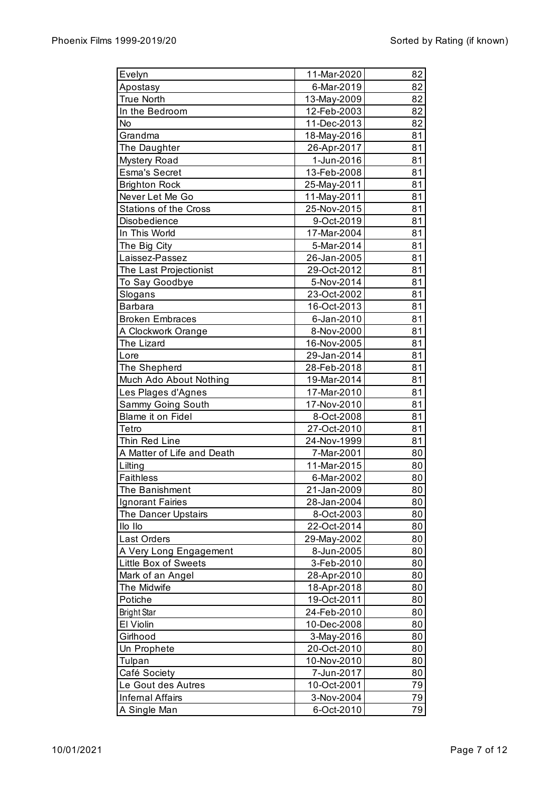| Evelyn                         | 11-Mar-2020               | 82       |
|--------------------------------|---------------------------|----------|
| Apostasy                       | 6-Mar-2019                | 82       |
| <b>True North</b>              | 13-May-2009               | 82       |
| In the Bedroom                 | 12-Feb-2003               | 82       |
| No                             | 11-Dec-2013               | 82       |
| Grandma                        | 18-May-2016               | 81       |
| The Daughter                   | 26-Apr-2017               | 81       |
| Mystery Road                   | 1-Jun-2016                | 81       |
| <b>Esma's Secret</b>           | 13-Feb-2008               | 81       |
| <b>Brighton Rock</b>           | 25-May-2011               | 81       |
| Never Let Me Go                | 11-May-2011               | 81       |
| <b>Stations of the Cross</b>   | 25-Nov-2015               | 81       |
| Disobedience                   | 9-Oct-2019                | 81       |
| In This World                  | 17-Mar-2004               | 81       |
| The Big City                   | 5-Mar-2014                | 81       |
| Laissez-Passez                 | 26-Jan-2005               | 81       |
| The Last Projectionist         | 29-Oct-2012               | 81       |
| To Say Goodbye                 | 5-Nov-2014                | 81       |
| Slogans                        | 23-Oct-2002               | 81       |
| <b>Barbara</b>                 | 16-Oct-2013               | 81       |
| <b>Broken Embraces</b>         | 6-Jan-2010                | 81       |
| A Clockwork Orange             | 8-Nov-2000                | 81       |
| The Lizard                     | 16-Nov-2005               | 81       |
| Lore                           | 29-Jan-2014               | 81       |
| The Shepherd                   | 28-Feb-2018               | 81       |
| Much Ado About Nothing         | 19-Mar-2014               | 81       |
| Les Plages d'Agnes             | 17-Mar-2010               | 81       |
| Sammy Going South              | 17-Nov-2010               | 81       |
| Blame it on Fidel              | 8-Oct-2008                | 81       |
| Tetro                          | 27-Oct-2010               | 81       |
| Thin Red Line                  | 24-Nov-1999               | 81       |
| A Matter of Life and Death     | 7-Mar-2001                | 80       |
| Lilting                        | 11-Mar-2015               | 80       |
| <b>Faithless</b>               |                           |          |
| The Banishment                 | 6-Mar-2002<br>21-Jan-2009 | 80<br>80 |
|                                |                           | 80       |
| Ignorant Fairies               | 28-Jan-2004               |          |
| The Dancer Upstairs<br>Ilo Ilo | 8-Oct-2003<br>22-Oct-2014 | 80       |
| <b>Last Orders</b>             |                           | 80       |
|                                | 29-May-2002               | 80       |
| A Very Long Engagement         | 8-Jun-2005                | 80       |
| Little Box of Sweets           | 3-Feb-2010                | 80       |
| Mark of an Angel               | 28-Apr-2010               | 80       |
| The Midwife                    | 18-Apr-2018               | 80       |
| Potiche                        | 19-Oct-2011               | 80       |
| <b>Bright Star</b>             | 24-Feb-2010               | 80       |
| El Violin                      | 10-Dec-2008               | 80       |
| Girlhood                       | 3-May-2016                | 80       |
| Un Prophete                    | 20-Oct-2010               | 80       |
| Tulpan                         | 10-Nov-2010               | 80       |
| Café Society                   | 7-Jun-2017                | 80       |
| Le Gout des Autres             | 10-Oct-2001               | 79       |
| <b>Infernal Affairs</b>        | 3-Nov-2004                | 79       |
| A Single Man                   | 6-Oct-2010                | 79       |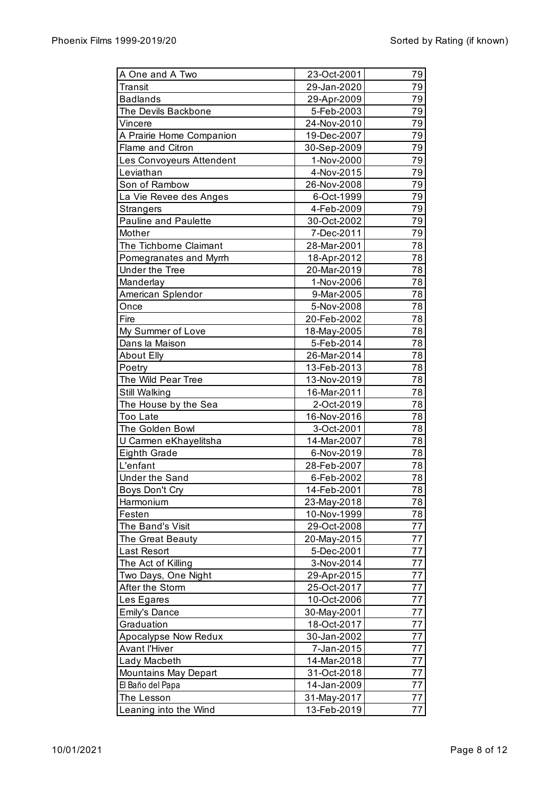| A One and A Two                              | 23-Oct-2001               | 79       |
|----------------------------------------------|---------------------------|----------|
| Transit                                      | 29-Jan-2020               | 79       |
| <b>Badlands</b>                              | 29-Apr-2009               | 79       |
| The Devils Backbone                          | 5-Feb-2003                | 79       |
| Vincere                                      | 24-Nov-2010               | 79       |
| A Prairie Home Companion                     | 19-Dec-2007               | 79       |
| Flame and Citron                             | 30-Sep-2009               | 79       |
| Les Convoyeurs Attendent                     | 1-Nov-2000                | 79       |
| Leviathan                                    | 4-Nov-2015                | 79       |
| Son of Rambow                                | 26-Nov-2008               | 79       |
| La Vie Revee des Anges                       | 6-Oct-1999                | 79       |
| <b>Strangers</b>                             | 4-Feb-2009                | 79       |
| <b>Pauline and Paulette</b>                  | 30-Oct-2002               | 79       |
| Mother                                       | 7-Dec-2011                | 79       |
| The Tichborne Claimant                       | 28-Mar-2001               | 78       |
| Pomegranates and Myrrh                       | 18-Apr-2012               | 78       |
| <b>Under the Tree</b>                        | 20-Mar-2019               | 78       |
| Manderlay                                    | 1-Nov-2006                | 78       |
| American Splendor                            | 9-Mar-2005                | 78       |
| Once                                         | 5-Nov-2008                | 78       |
| Fire                                         | 20-Feb-2002               | 78       |
| My Summer of Love                            | 18-May-2005               | 78       |
| Dans la Maison                               | 5-Feb-2014                | 78       |
| <b>About Elly</b>                            | 26-Mar-2014               | 78       |
| Poetry                                       | 13-Feb-2013               | 78       |
| The Wild Pear Tree                           | 13-Nov-2019               | 78       |
| Still Walking                                | 16-Mar-2011               | 78       |
| The House by the Sea                         | 2-Oct-2019                | 78       |
| Too Late                                     | 16-Nov-2016               | 78       |
| The Golden Bowl                              | 3-Oct-2001                | 78       |
| U Carmen eKhayelitsha                        | 14-Mar-2007               | 78       |
| Eighth Grade                                 | 6-Nov-2019                | 78       |
| L'enfant                                     | 28-Feb-2007               | 78       |
| Under the Sand                               | 6-Feb-2002                | 78       |
| <b>Boys Don't Cry</b>                        | 14-Feb-2001               | 78       |
| Harmonium                                    | 23-May-2018               | 78       |
| Festen                                       | 10-Nov-1999               | 78       |
| The Band's Visit                             | 29-Oct-2008               | 77       |
| The Great Beauty                             | 20-May-2015               | 77       |
| <b>Last Resort</b>                           | 5-Dec-2001                | 77       |
| The Act of Killing                           | 3-Nov-2014                | 77       |
| Two Days, One Night                          | 29-Apr-2015               | 77       |
| After the Storm                              | 25-Oct-2017               | 77       |
| Les Egares                                   | 10-Oct-2006               | 77       |
| <b>Emily's Dance</b>                         | 30-May-2001               | 77       |
|                                              |                           |          |
| Graduation                                   | 18-Oct-2017               | 77<br>77 |
| Apocalypse Now Redux<br><b>Avant l'Hiver</b> | 30-Jan-2002<br>7-Jan-2015 | 77       |
|                                              |                           |          |
| Lady Macbeth                                 | 14-Mar-2018               | 77       |
| <b>Mountains May Depart</b>                  | 31-Oct-2018               | 77       |
| El Baño del Papa                             | 14-Jan-2009               | 77       |
| The Lesson                                   | 31-May-2017               | 77       |
| Leaning into the Wind                        | 13-Feb-2019               | 77       |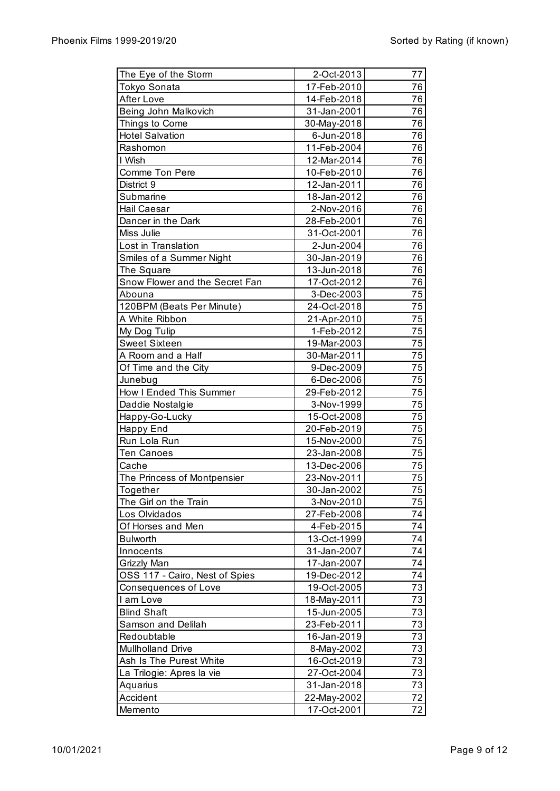| The Eye of the Storm<br><b>Tokyo Sonata</b><br>17-Feb-2010<br>76<br><b>After Love</b><br>76<br>14-Feb-2018<br>Being John Malkovich<br>76<br>31-Jan-2001<br>76<br>Things to Come<br>30-May-2018<br>76<br><b>Hotel Salvation</b><br>6-Jun-2018<br>76<br>Rashomon<br>11-Feb-2004<br>I Wish<br>76<br>12-Mar-2014<br>76<br>Comme Ton Pere<br>10-Feb-2010<br>76<br>12-Jan-2011<br>District 9<br>76<br>Submarine<br>18-Jan-2012<br>76<br>Hail Caesar<br>2-Nov-2016<br>76<br>Dancer in the Dark<br>28-Feb-2001<br>Miss Julie<br>76<br>31-Oct-2001<br>76<br>Lost in Translation<br>2-Jun-2004<br>76<br>Smiles of a Summer Night<br>30-Jan-2019<br>76<br>The Square<br>13-Jun-2018<br>76<br>Snow Flower and the Secret Fan<br>17-Oct-2012<br>75<br>Abouna<br>3-Dec-2003<br>120BPM (Beats Per Minute)<br>75<br>24-Oct-2018<br>75<br>A White Ribbon<br>21-Apr-2010<br>75<br>1-Feb-2012<br>My Dog Tulip<br><b>Sweet Sixteen</b><br>19-Mar-2003<br>75<br>75<br>A Room and a Half<br>30-Mar-2011<br>75<br>Of Time and the City<br>9-Dec-2009<br>75<br>6-Dec-2006<br>Junebug<br>How I Ended This Summer<br>75<br>29-Feb-2012<br>75<br>3-Nov-1999<br>Daddie Nostalgie<br>75<br>Happy-Go-Lucky<br>15-Oct-2008 |
|---------------------------------------------------------------------------------------------------------------------------------------------------------------------------------------------------------------------------------------------------------------------------------------------------------------------------------------------------------------------------------------------------------------------------------------------------------------------------------------------------------------------------------------------------------------------------------------------------------------------------------------------------------------------------------------------------------------------------------------------------------------------------------------------------------------------------------------------------------------------------------------------------------------------------------------------------------------------------------------------------------------------------------------------------------------------------------------------------------------------------------------------------------------------------------------------|
|                                                                                                                                                                                                                                                                                                                                                                                                                                                                                                                                                                                                                                                                                                                                                                                                                                                                                                                                                                                                                                                                                                                                                                                             |
|                                                                                                                                                                                                                                                                                                                                                                                                                                                                                                                                                                                                                                                                                                                                                                                                                                                                                                                                                                                                                                                                                                                                                                                             |
|                                                                                                                                                                                                                                                                                                                                                                                                                                                                                                                                                                                                                                                                                                                                                                                                                                                                                                                                                                                                                                                                                                                                                                                             |
|                                                                                                                                                                                                                                                                                                                                                                                                                                                                                                                                                                                                                                                                                                                                                                                                                                                                                                                                                                                                                                                                                                                                                                                             |
|                                                                                                                                                                                                                                                                                                                                                                                                                                                                                                                                                                                                                                                                                                                                                                                                                                                                                                                                                                                                                                                                                                                                                                                             |
|                                                                                                                                                                                                                                                                                                                                                                                                                                                                                                                                                                                                                                                                                                                                                                                                                                                                                                                                                                                                                                                                                                                                                                                             |
|                                                                                                                                                                                                                                                                                                                                                                                                                                                                                                                                                                                                                                                                                                                                                                                                                                                                                                                                                                                                                                                                                                                                                                                             |
|                                                                                                                                                                                                                                                                                                                                                                                                                                                                                                                                                                                                                                                                                                                                                                                                                                                                                                                                                                                                                                                                                                                                                                                             |
|                                                                                                                                                                                                                                                                                                                                                                                                                                                                                                                                                                                                                                                                                                                                                                                                                                                                                                                                                                                                                                                                                                                                                                                             |
|                                                                                                                                                                                                                                                                                                                                                                                                                                                                                                                                                                                                                                                                                                                                                                                                                                                                                                                                                                                                                                                                                                                                                                                             |
|                                                                                                                                                                                                                                                                                                                                                                                                                                                                                                                                                                                                                                                                                                                                                                                                                                                                                                                                                                                                                                                                                                                                                                                             |
|                                                                                                                                                                                                                                                                                                                                                                                                                                                                                                                                                                                                                                                                                                                                                                                                                                                                                                                                                                                                                                                                                                                                                                                             |
|                                                                                                                                                                                                                                                                                                                                                                                                                                                                                                                                                                                                                                                                                                                                                                                                                                                                                                                                                                                                                                                                                                                                                                                             |
|                                                                                                                                                                                                                                                                                                                                                                                                                                                                                                                                                                                                                                                                                                                                                                                                                                                                                                                                                                                                                                                                                                                                                                                             |
|                                                                                                                                                                                                                                                                                                                                                                                                                                                                                                                                                                                                                                                                                                                                                                                                                                                                                                                                                                                                                                                                                                                                                                                             |
|                                                                                                                                                                                                                                                                                                                                                                                                                                                                                                                                                                                                                                                                                                                                                                                                                                                                                                                                                                                                                                                                                                                                                                                             |
|                                                                                                                                                                                                                                                                                                                                                                                                                                                                                                                                                                                                                                                                                                                                                                                                                                                                                                                                                                                                                                                                                                                                                                                             |
|                                                                                                                                                                                                                                                                                                                                                                                                                                                                                                                                                                                                                                                                                                                                                                                                                                                                                                                                                                                                                                                                                                                                                                                             |
|                                                                                                                                                                                                                                                                                                                                                                                                                                                                                                                                                                                                                                                                                                                                                                                                                                                                                                                                                                                                                                                                                                                                                                                             |
|                                                                                                                                                                                                                                                                                                                                                                                                                                                                                                                                                                                                                                                                                                                                                                                                                                                                                                                                                                                                                                                                                                                                                                                             |
|                                                                                                                                                                                                                                                                                                                                                                                                                                                                                                                                                                                                                                                                                                                                                                                                                                                                                                                                                                                                                                                                                                                                                                                             |
|                                                                                                                                                                                                                                                                                                                                                                                                                                                                                                                                                                                                                                                                                                                                                                                                                                                                                                                                                                                                                                                                                                                                                                                             |
|                                                                                                                                                                                                                                                                                                                                                                                                                                                                                                                                                                                                                                                                                                                                                                                                                                                                                                                                                                                                                                                                                                                                                                                             |
|                                                                                                                                                                                                                                                                                                                                                                                                                                                                                                                                                                                                                                                                                                                                                                                                                                                                                                                                                                                                                                                                                                                                                                                             |
|                                                                                                                                                                                                                                                                                                                                                                                                                                                                                                                                                                                                                                                                                                                                                                                                                                                                                                                                                                                                                                                                                                                                                                                             |
|                                                                                                                                                                                                                                                                                                                                                                                                                                                                                                                                                                                                                                                                                                                                                                                                                                                                                                                                                                                                                                                                                                                                                                                             |
|                                                                                                                                                                                                                                                                                                                                                                                                                                                                                                                                                                                                                                                                                                                                                                                                                                                                                                                                                                                                                                                                                                                                                                                             |
|                                                                                                                                                                                                                                                                                                                                                                                                                                                                                                                                                                                                                                                                                                                                                                                                                                                                                                                                                                                                                                                                                                                                                                                             |
| 75<br><b>Happy End</b><br>20-Feb-2019                                                                                                                                                                                                                                                                                                                                                                                                                                                                                                                                                                                                                                                                                                                                                                                                                                                                                                                                                                                                                                                                                                                                                       |
| 75<br>Run Lola Run<br>15-Nov-2000                                                                                                                                                                                                                                                                                                                                                                                                                                                                                                                                                                                                                                                                                                                                                                                                                                                                                                                                                                                                                                                                                                                                                           |
| 75<br><b>Ten Canoes</b><br>23-Jan-2008                                                                                                                                                                                                                                                                                                                                                                                                                                                                                                                                                                                                                                                                                                                                                                                                                                                                                                                                                                                                                                                                                                                                                      |
| 75<br>Cache<br>13-Dec-2006                                                                                                                                                                                                                                                                                                                                                                                                                                                                                                                                                                                                                                                                                                                                                                                                                                                                                                                                                                                                                                                                                                                                                                  |
| 75<br>The Princess of Montpensier<br>23-Nov-2011                                                                                                                                                                                                                                                                                                                                                                                                                                                                                                                                                                                                                                                                                                                                                                                                                                                                                                                                                                                                                                                                                                                                            |
| $\overline{75}$<br>30-Jan-2002<br>Together                                                                                                                                                                                                                                                                                                                                                                                                                                                                                                                                                                                                                                                                                                                                                                                                                                                                                                                                                                                                                                                                                                                                                  |
| 75<br>The Girl on the Train<br>3-Nov-2010                                                                                                                                                                                                                                                                                                                                                                                                                                                                                                                                                                                                                                                                                                                                                                                                                                                                                                                                                                                                                                                                                                                                                   |
| Los Olvidados<br>74<br>27-Feb-2008                                                                                                                                                                                                                                                                                                                                                                                                                                                                                                                                                                                                                                                                                                                                                                                                                                                                                                                                                                                                                                                                                                                                                          |
| Of Horses and Men<br>4-Feb-2015<br>74                                                                                                                                                                                                                                                                                                                                                                                                                                                                                                                                                                                                                                                                                                                                                                                                                                                                                                                                                                                                                                                                                                                                                       |
| <b>Bulworth</b><br>74<br>13-Oct-1999                                                                                                                                                                                                                                                                                                                                                                                                                                                                                                                                                                                                                                                                                                                                                                                                                                                                                                                                                                                                                                                                                                                                                        |
| 31-Jan-2007<br>74<br>Innocents                                                                                                                                                                                                                                                                                                                                                                                                                                                                                                                                                                                                                                                                                                                                                                                                                                                                                                                                                                                                                                                                                                                                                              |
| 74<br>17-Jan-2007<br>Grizzly Man                                                                                                                                                                                                                                                                                                                                                                                                                                                                                                                                                                                                                                                                                                                                                                                                                                                                                                                                                                                                                                                                                                                                                            |
| 74<br>OSS 117 - Cairo, Nest of Spies<br>19-Dec-2012                                                                                                                                                                                                                                                                                                                                                                                                                                                                                                                                                                                                                                                                                                                                                                                                                                                                                                                                                                                                                                                                                                                                         |
| Consequences of Love<br>19-Oct-2005<br>73                                                                                                                                                                                                                                                                                                                                                                                                                                                                                                                                                                                                                                                                                                                                                                                                                                                                                                                                                                                                                                                                                                                                                   |
| I am Love<br>18-May-2011<br>73                                                                                                                                                                                                                                                                                                                                                                                                                                                                                                                                                                                                                                                                                                                                                                                                                                                                                                                                                                                                                                                                                                                                                              |
| <b>Blind Shaft</b><br>73<br>15-Jun-2005                                                                                                                                                                                                                                                                                                                                                                                                                                                                                                                                                                                                                                                                                                                                                                                                                                                                                                                                                                                                                                                                                                                                                     |
| 23-Feb-2011<br>73<br>Samson and Delilah                                                                                                                                                                                                                                                                                                                                                                                                                                                                                                                                                                                                                                                                                                                                                                                                                                                                                                                                                                                                                                                                                                                                                     |
| Redoubtable<br>16-Jan-2019<br>73                                                                                                                                                                                                                                                                                                                                                                                                                                                                                                                                                                                                                                                                                                                                                                                                                                                                                                                                                                                                                                                                                                                                                            |
| 73<br><b>Mullholland Drive</b><br>8-May-2002                                                                                                                                                                                                                                                                                                                                                                                                                                                                                                                                                                                                                                                                                                                                                                                                                                                                                                                                                                                                                                                                                                                                                |
| Ash Is The Purest White<br>16-Oct-2019<br>73                                                                                                                                                                                                                                                                                                                                                                                                                                                                                                                                                                                                                                                                                                                                                                                                                                                                                                                                                                                                                                                                                                                                                |
| La Trilogie: Apres la vie<br>73<br>27-Oct-2004                                                                                                                                                                                                                                                                                                                                                                                                                                                                                                                                                                                                                                                                                                                                                                                                                                                                                                                                                                                                                                                                                                                                              |
| $\overline{73}$<br>31-Jan-2018<br>Aquarius                                                                                                                                                                                                                                                                                                                                                                                                                                                                                                                                                                                                                                                                                                                                                                                                                                                                                                                                                                                                                                                                                                                                                  |
| Accident<br>22-May-2002<br>72                                                                                                                                                                                                                                                                                                                                                                                                                                                                                                                                                                                                                                                                                                                                                                                                                                                                                                                                                                                                                                                                                                                                                               |
| Memento<br>17-Oct-2001<br>72                                                                                                                                                                                                                                                                                                                                                                                                                                                                                                                                                                                                                                                                                                                                                                                                                                                                                                                                                                                                                                                                                                                                                                |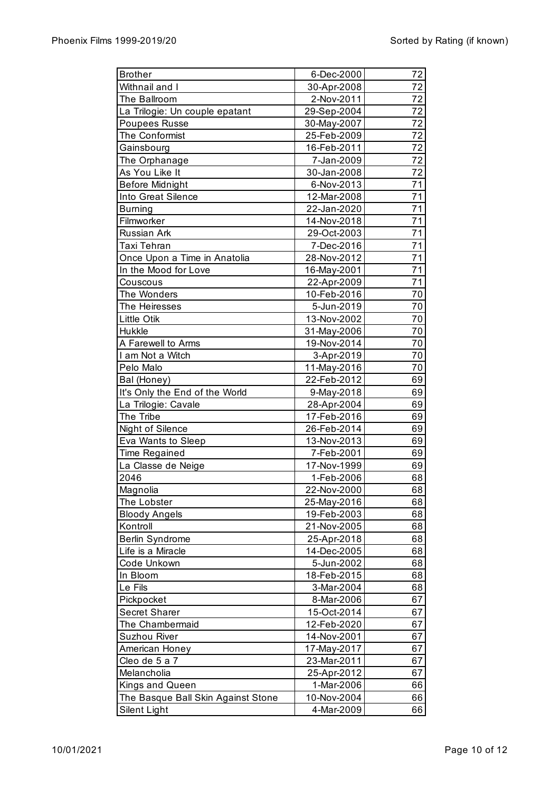| <b>Brother</b>                     | 6-Dec-2000  | 72 |
|------------------------------------|-------------|----|
| Withnail and I                     | 30-Apr-2008 | 72 |
| The Ballroom                       | 2-Nov-2011  | 72 |
| La Trilogie: Un couple epatant     | 29-Sep-2004 | 72 |
| Poupees Russe                      | 30-May-2007 | 72 |
| The Conformist                     | 25-Feb-2009 | 72 |
| Gainsbourg                         | 16-Feb-2011 | 72 |
| The Orphanage                      | 7-Jan-2009  | 72 |
| As You Like It                     | 30-Jan-2008 | 72 |
| <b>Before Midnight</b>             | 6-Nov-2013  | 71 |
| Into Great Silence                 | 12-Mar-2008 | 71 |
| <b>Burning</b>                     | 22-Jan-2020 | 71 |
| Filmworker                         | 14-Nov-2018 | 71 |
| Russian Ark                        | 29-Oct-2003 | 71 |
| Taxi Tehran                        | 7-Dec-2016  | 71 |
| Once Upon a Time in Anatolia       | 28-Nov-2012 | 71 |
| In the Mood for Love               | 16-May-2001 | 71 |
| Couscous                           | 22-Apr-2009 | 71 |
| The Wonders                        | 10-Feb-2016 | 70 |
| The Heiresses                      | 5-Jun-2019  | 70 |
| <b>Little Otik</b>                 | 13-Nov-2002 | 70 |
| Hukkle                             | 31-May-2006 | 70 |
| A Farewell to Arms                 | 19-Nov-2014 | 70 |
| I am Not a Witch                   | 3-Apr-2019  | 70 |
| Pelo Malo                          | 11-May-2016 | 70 |
| Bal (Honey)                        | 22-Feb-2012 | 69 |
| It's Only the End of the World     | 9-May-2018  | 69 |
| La Trilogie: Cavale                | 28-Apr-2004 | 69 |
| The Tribe                          | 17-Feb-2016 | 69 |
| Night of Silence                   | 26-Feb-2014 | 69 |
| Eva Wants to Sleep                 | 13-Nov-2013 | 69 |
| Time Regained                      | 7-Feb-2001  | 69 |
| La Classe de Neige                 | 17-Nov-1999 | 69 |
| 2046                               | 1-Feb-2006  | 68 |
| Magnolia                           | 22-Nov-2000 | 68 |
| The Lobster                        | 25-May-2016 | 68 |
| <b>Bloody Angels</b>               | 19-Feb-2003 | 68 |
| Kontroll                           | 21-Nov-2005 | 68 |
| Berlin Syndrome                    | 25-Apr-2018 | 68 |
| Life is a Miracle                  | 14-Dec-2005 | 68 |
| Code Unkown                        | 5-Jun-2002  | 68 |
| In Bloom                           | 18-Feb-2015 | 68 |
| Le Fils                            | 3-Mar-2004  | 68 |
| Pickpocket                         | 8-Mar-2006  | 67 |
| Secret Sharer                      | 15-Oct-2014 | 67 |
| The Chambermaid                    | 12-Feb-2020 | 67 |
| <b>Suzhou River</b>                | 14-Nov-2001 | 67 |
| American Honey                     | 17-May-2017 | 67 |
| Cleo de 5 a 7                      | 23-Mar-2011 | 67 |
| Melancholia                        | 25-Apr-2012 | 67 |
| Kings and Queen                    | 1-Mar-2006  | 66 |
| The Basque Ball Skin Against Stone | 10-Nov-2004 | 66 |
| Silent Light                       | 4-Mar-2009  | 66 |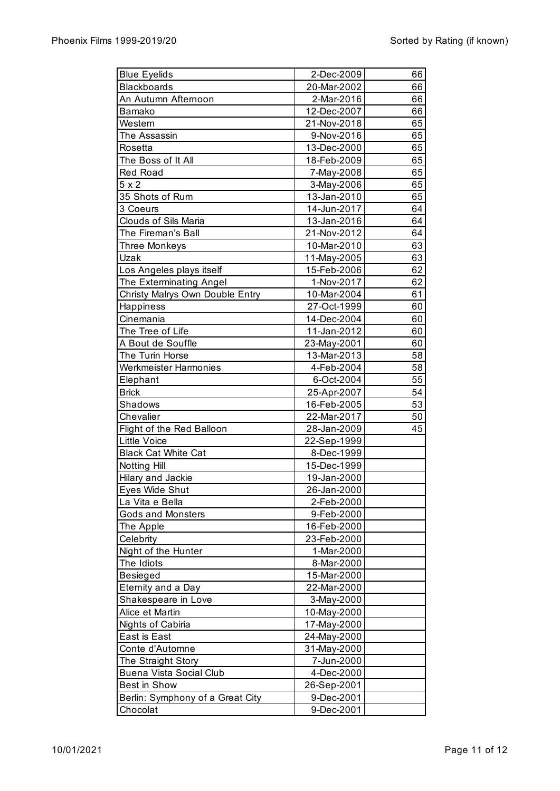| <b>Blue Eyelids</b>                         | 2-Dec-2009               | 66 |
|---------------------------------------------|--------------------------|----|
| <b>Blackboards</b>                          | 20-Mar-2002              | 66 |
| An Autumn Afternoon                         | 2-Mar-2016               | 66 |
| Bamako                                      | 12-Dec-2007              | 66 |
| Western                                     | 21-Nov-2018              | 65 |
| The Assassin                                | 9-Nov-2016               | 65 |
| Rosetta                                     | 13-Dec-2000              | 65 |
| The Boss of It All                          | 18-Feb-2009              | 65 |
| <b>Red Road</b>                             | 7-May-2008               | 65 |
| $5 \times 2$                                | 3-May-2006               | 65 |
| 35 Shots of Rum                             | 13-Jan-2010              | 65 |
| 3 Coeurs                                    | 14-Jun-2017              | 64 |
| Clouds of Sils Maria                        | 13-Jan-2016              | 64 |
| The Fireman's Ball                          | 21-Nov-2012              | 64 |
| Three Monkeys                               | 10-Mar-2010              | 63 |
| Uzak                                        | 11-May-2005              | 63 |
| Los Angeles plays itself                    | 15-Feb-2006              | 62 |
| The Exterminating Angel                     | 1-Nov-2017               | 62 |
| Christy Malrys Own Double Entry             | 10-Mar-2004              | 61 |
| Happiness                                   | 27-Oct-1999              | 60 |
| Cinemania                                   | 14-Dec-2004              | 60 |
| The Tree of Life                            | 11-Jan-2012              | 60 |
| A Bout de Souffle                           | 23-May-2001              | 60 |
| The Turin Horse                             | 13-Mar-2013              | 58 |
| <b>Werkmeister Harmonies</b>                | 4-Feb-2004               | 58 |
| Elephant                                    | 6-Oct-2004               | 55 |
| <b>Brick</b>                                | 25-Apr-2007              | 54 |
| Shadows                                     | 16-Feb-2005              | 53 |
| Chevalier                                   | 22-Mar-2017              | 50 |
| Flight of the Red Balloon                   | 28-Jan-2009              | 45 |
| <b>Little Voice</b>                         | 22-Sep-1999              |    |
| <b>Black Cat White Cat</b>                  | 8-Dec-1999               |    |
| Notting Hill                                | 15-Dec-1999              |    |
| Hilary and Jackie                           | 19-Jan-2000              |    |
|                                             |                          |    |
| Eyes Wide Shut                              | 26-Jan-2000              |    |
| La Vita e Bella<br><b>Gods and Monsters</b> | 2-Feb-2000<br>9-Feb-2000 |    |
|                                             |                          |    |
| The Apple                                   | 16-Feb-2000              |    |
| Celebrity                                   | 23-Feb-2000              |    |
| Night of the Hunter                         | 1-Mar-2000               |    |
| The Idiots                                  | 8-Mar-2000               |    |
| Besieged                                    | 15-Mar-2000              |    |
| Eternity and a Day                          | 22-Mar-2000              |    |
| Shakespeare in Love                         | 3-May-2000               |    |
| Alice et Martin                             | 10-May-2000              |    |
| <b>Nights of Cabiria</b>                    | 17-May-2000              |    |
| East is East                                | 24-May-2000              |    |
| Conte d'Automne                             | 31-May-2000              |    |
| The Straight Story                          | 7-Jun-2000               |    |
| Buena Vista Social Club                     | 4-Dec-2000               |    |
| Best in Show                                | 26-Sep-2001              |    |
| Berlin: Symphony of a Great City            | 9-Dec-2001               |    |
| Chocolat                                    | 9-Dec-2001               |    |